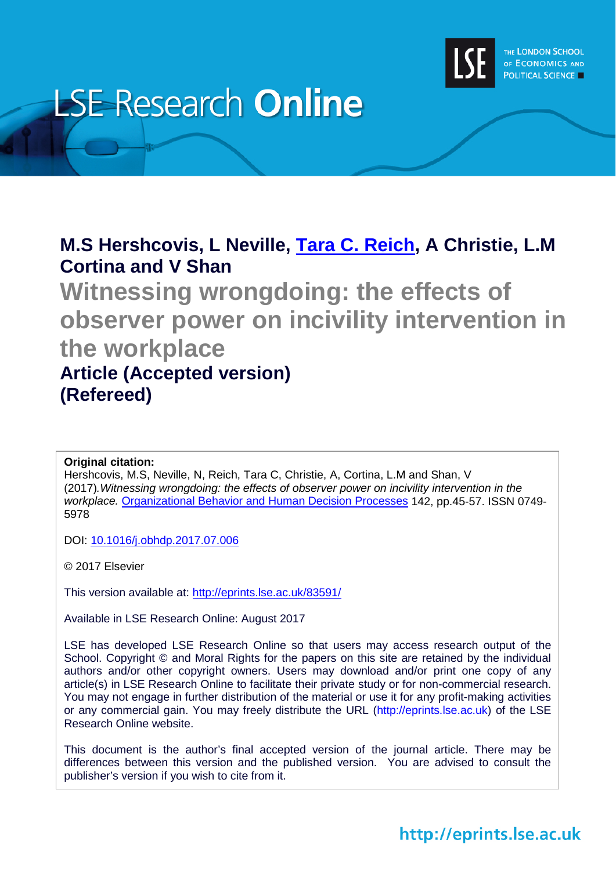

# **LSE Research Online**

# **M.S Hershcovis, L Neville, [Tara C. Reich,](http://www.lse.ac.uk/researchAndExpertise/Experts/profile.aspx?KeyValue=t.c.reich@lse.ac.uk) A Christie, L.M Cortina and V Shan**

**Witnessing wrongdoing: the effects of observer power on incivility intervention in the workplace Article (Accepted version) (Refereed)**

#### **Original citation:**

Hershcovis, M.S, Neville, N, Reich, Tara C, Christie, A, Cortina, L.M and Shan, V (2017)*.Witnessing wrongdoing: the effects of observer power on incivility intervention in the workplace.* [Organizational Behavior and Human Decision Processes](https://www.journals.elsevier.com/organizational-behavior-and-human-decision-processes/) 142, pp.45-57. ISSN 0749- 5978

DOI: [10.1016/j.obhdp.2017.07.006](http://dx.doi.org/%2010.1016/j.obhdp.2017.07.006)

© 2017 Elsevier

This version available at:<http://eprints.lse.ac.uk/83591/>

Available in LSE Research Online: August 2017

LSE has developed LSE Research Online so that users may access research output of the School. Copyright © and Moral Rights for the papers on this site are retained by the individual authors and/or other copyright owners. Users may download and/or print one copy of any article(s) in LSE Research Online to facilitate their private study or for non-commercial research. You may not engage in further distribution of the material or use it for any profit-making activities or any commercial gain. You may freely distribute the URL (http://eprints.lse.ac.uk) of the LSE Research Online website.

This document is the author's final accepted version of the journal article. There may be differences between this version and the published version. You are advised to consult the publisher's version if you wish to cite from it.

# http://eprints.lse.ac.uk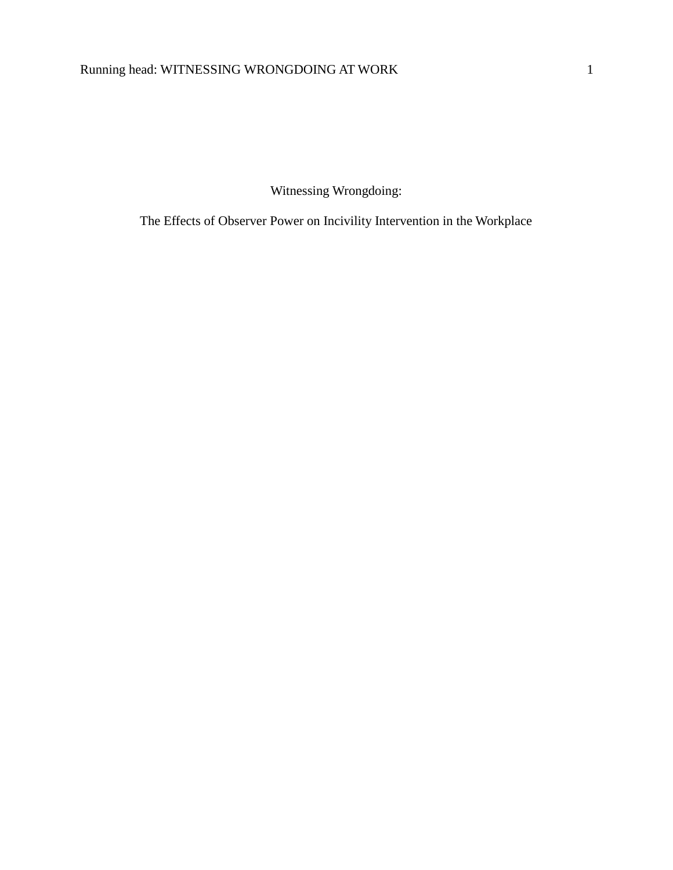Witnessing Wrongdoing:

The Effects of Observer Power on Incivility Intervention in the Workplace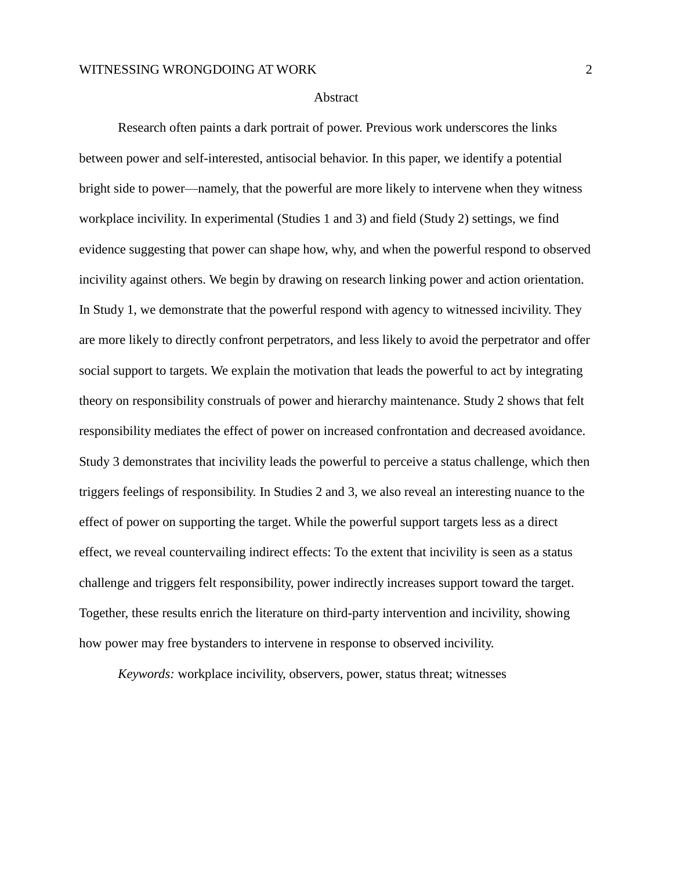#### Abstract

Research often paints a dark portrait of power. Previous work underscores the links between power and self-interested, antisocial behavior. In this paper, we identify a potential bright side to power—namely, that the powerful are more likely to intervene when they witness workplace incivility. In experimental (Studies 1 and 3) and field (Study 2) settings, we find evidence suggesting that power can shape how, why, and when the powerful respond to observed incivility against others. We begin by drawing on research linking power and action orientation. In Study 1, we demonstrate that the powerful respond with agency to witnessed incivility. They are more likely to directly confront perpetrators, and less likely to avoid the perpetrator and offer social support to targets. We explain the motivation that leads the powerful to act by integrating theory on responsibility construals of power and hierarchy maintenance. Study 2 shows that felt responsibility mediates the effect of power on increased confrontation and decreased avoidance. Study 3 demonstrates that incivility leads the powerful to perceive a status challenge, which then triggers feelings of responsibility. In Studies 2 and 3, we also reveal an interesting nuance to the effect of power on supporting the target. While the powerful support targets less as a direct effect, we reveal countervailing indirect effects: To the extent that incivility is seen as a status challenge and triggers felt responsibility, power indirectly increases support toward the target. Together, these results enrich the literature on third-party intervention and incivility, showing how power may free bystanders to intervene in response to observed incivility.

*Keywords:* workplace incivility, observers, power, status threat; witnesses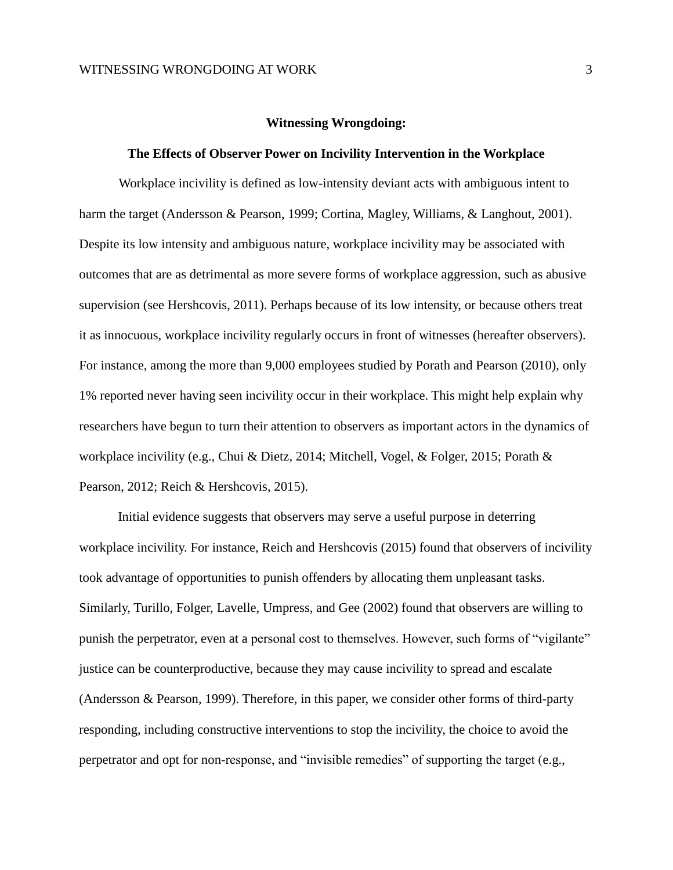#### **Witnessing Wrongdoing:**

#### **The Effects of Observer Power on Incivility Intervention in the Workplace**

Workplace incivility is defined as low-intensity deviant acts with ambiguous intent to harm the target (Andersson & Pearson, 1999; Cortina, Magley, Williams, & Langhout, 2001). Despite its low intensity and ambiguous nature, workplace incivility may be associated with outcomes that are as detrimental as more severe forms of workplace aggression, such as abusive supervision (see Hershcovis, 2011). Perhaps because of its low intensity, or because others treat it as innocuous, workplace incivility regularly occurs in front of witnesses (hereafter observers). For instance, among the more than 9,000 employees studied by Porath and Pearson (2010), only 1% reported never having seen incivility occur in their workplace. This might help explain why researchers have begun to turn their attention to observers as important actors in the dynamics of workplace incivility (e.g., Chui & Dietz, 2014; Mitchell, Vogel, & Folger, 2015; Porath & Pearson, 2012; Reich & Hershcovis, 2015).

Initial evidence suggests that observers may serve a useful purpose in deterring workplace incivility. For instance, Reich and Hershcovis (2015) found that observers of incivility took advantage of opportunities to punish offenders by allocating them unpleasant tasks. Similarly, Turillo, Folger, Lavelle, Umpress, and Gee (2002) found that observers are willing to punish the perpetrator, even at a personal cost to themselves. However, such forms of "vigilante" justice can be counterproductive, because they may cause incivility to spread and escalate (Andersson & Pearson, 1999). Therefore, in this paper, we consider other forms of third-party responding, including constructive interventions to stop the incivility, the choice to avoid the perpetrator and opt for non-response, and "invisible remedies" of supporting the target (e.g.,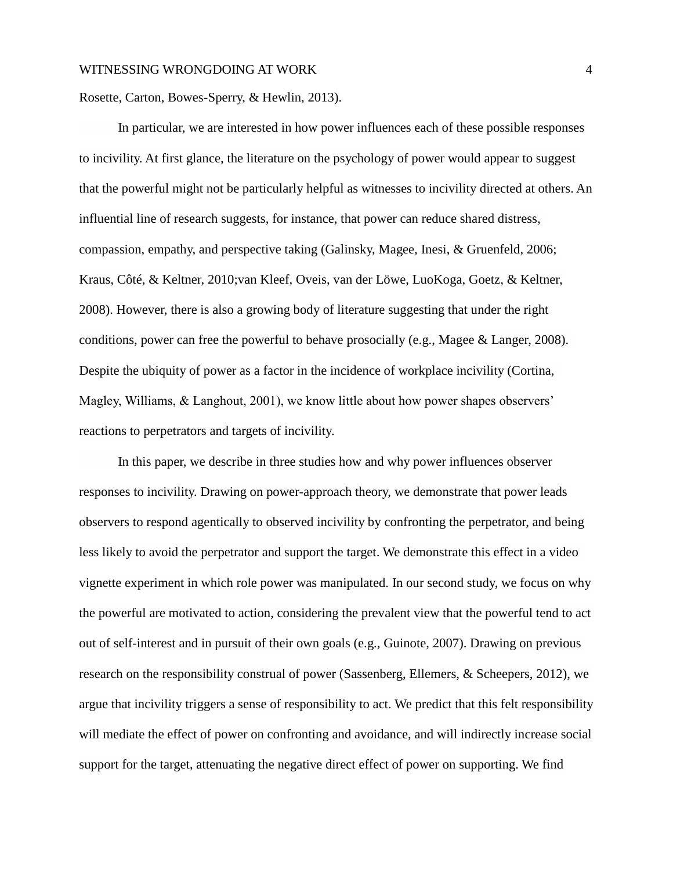Rosette, Carton, Bowes-Sperry, & Hewlin, 2013).

In particular, we are interested in how power influences each of these possible responses to incivility. At first glance, the literature on the psychology of power would appear to suggest that the powerful might not be particularly helpful as witnesses to incivility directed at others. An influential line of research suggests, for instance, that power can reduce shared distress, compassion, empathy, and perspective taking (Galinsky, Magee, Inesi, & Gruenfeld, 2006; Kraus, Côté, & Keltner, 2010;van Kleef, Oveis, van der Löwe, LuoKoga, Goetz, & Keltner, 2008). However, there is also a growing body of literature suggesting that under the right conditions, power can free the powerful to behave prosocially (e.g., Magee & Langer, 2008). Despite the ubiquity of power as a factor in the incidence of workplace incivility (Cortina, Magley, Williams, & Langhout, 2001), we know little about how power shapes observers' reactions to perpetrators and targets of incivility.

In this paper, we describe in three studies how and why power influences observer responses to incivility. Drawing on power-approach theory, we demonstrate that power leads observers to respond agentically to observed incivility by confronting the perpetrator, and being less likely to avoid the perpetrator and support the target. We demonstrate this effect in a video vignette experiment in which role power was manipulated. In our second study, we focus on why the powerful are motivated to action, considering the prevalent view that the powerful tend to act out of self-interest and in pursuit of their own goals (e.g., Guinote, 2007). Drawing on previous research on the responsibility construal of power (Sassenberg, Ellemers, & Scheepers, 2012), we argue that incivility triggers a sense of responsibility to act. We predict that this felt responsibility will mediate the effect of power on confronting and avoidance, and will indirectly increase social support for the target, attenuating the negative direct effect of power on supporting. We find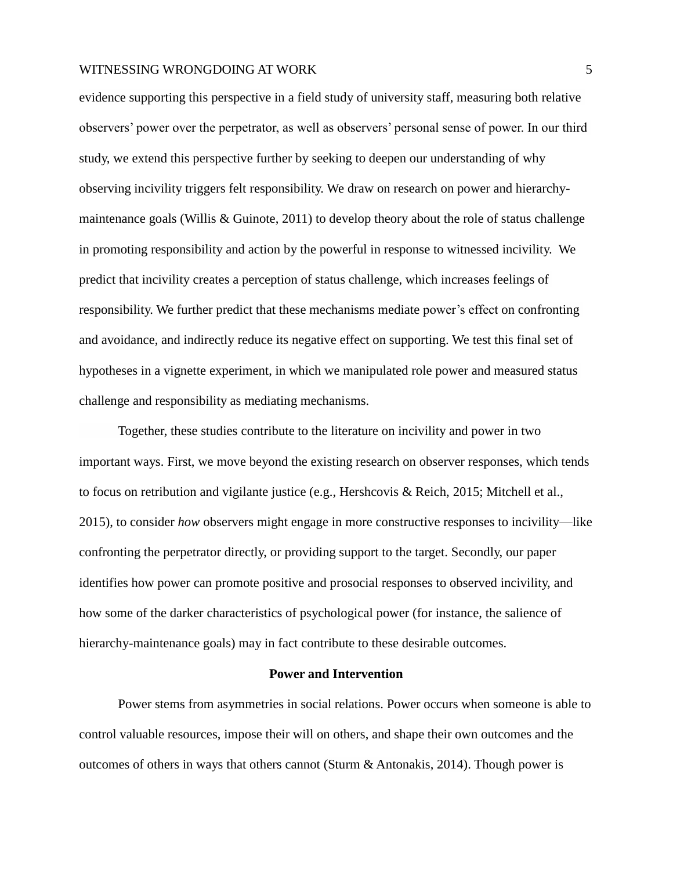evidence supporting this perspective in a field study of university staff, measuring both relative observers' power over the perpetrator, as well as observers' personal sense of power. In our third study, we extend this perspective further by seeking to deepen our understanding of why observing incivility triggers felt responsibility. We draw on research on power and hierarchymaintenance goals (Willis & Guinote, 2011) to develop theory about the role of status challenge in promoting responsibility and action by the powerful in response to witnessed incivility. We predict that incivility creates a perception of status challenge, which increases feelings of responsibility. We further predict that these mechanisms mediate power's effect on confronting and avoidance, and indirectly reduce its negative effect on supporting. We test this final set of hypotheses in a vignette experiment, in which we manipulated role power and measured status challenge and responsibility as mediating mechanisms.

Together, these studies contribute to the literature on incivility and power in two important ways. First, we move beyond the existing research on observer responses, which tends to focus on retribution and vigilante justice (e.g., Hershcovis & Reich, 2015; Mitchell et al., 2015), to consider *how* observers might engage in more constructive responses to incivility—like confronting the perpetrator directly, or providing support to the target. Secondly, our paper identifies how power can promote positive and prosocial responses to observed incivility, and how some of the darker characteristics of psychological power (for instance, the salience of hierarchy-maintenance goals) may in fact contribute to these desirable outcomes.

#### **Power and Intervention**

Power stems from asymmetries in social relations. Power occurs when someone is able to control valuable resources, impose their will on others, and shape their own outcomes and the outcomes of others in ways that others cannot (Sturm & Antonakis, 2014). Though power is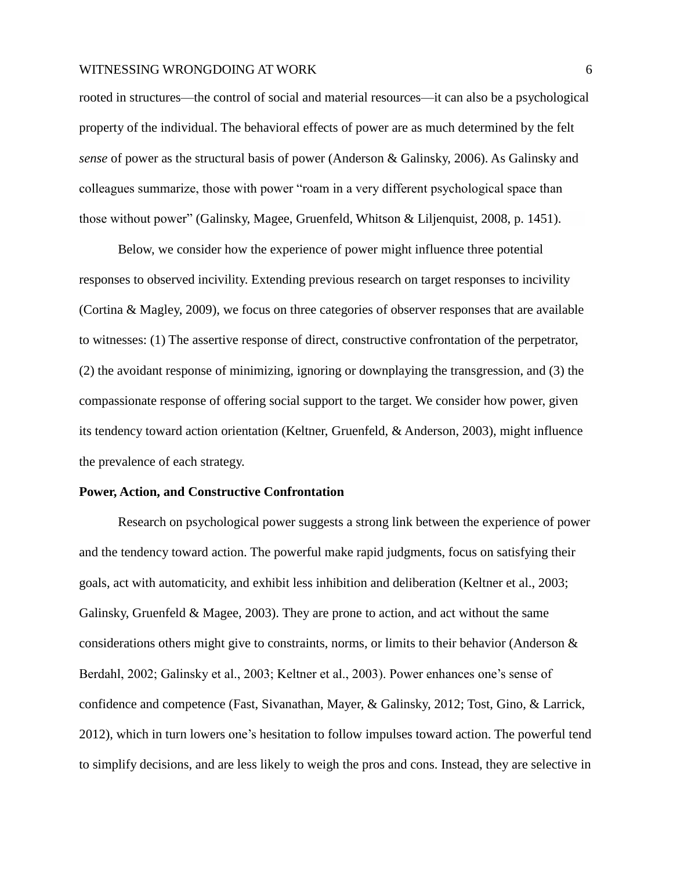rooted in structures—the control of social and material resources—it can also be a psychological property of the individual. The behavioral effects of power are as much determined by the felt *sense* of power as the structural basis of power (Anderson & Galinsky, 2006). As Galinsky and colleagues summarize, those with power "roam in a very different psychological space than those without power" (Galinsky, Magee, Gruenfeld, Whitson & Liljenquist, 2008, p. 1451).

Below, we consider how the experience of power might influence three potential responses to observed incivility. Extending previous research on target responses to incivility (Cortina & Magley, 2009), we focus on three categories of observer responses that are available to witnesses: (1) The assertive response of direct, constructive confrontation of the perpetrator, (2) the avoidant response of minimizing, ignoring or downplaying the transgression, and (3) the compassionate response of offering social support to the target. We consider how power, given its tendency toward action orientation (Keltner, Gruenfeld, & Anderson, 2003), might influence the prevalence of each strategy.

#### **Power, Action, and Constructive Confrontation**

Research on psychological power suggests a strong link between the experience of power and the tendency toward action. The powerful make rapid judgments, focus on satisfying their goals, act with automaticity, and exhibit less inhibition and deliberation (Keltner et al., 2003; Galinsky, Gruenfeld & Magee, 2003). They are prone to action, and act without the same considerations others might give to constraints, norms, or limits to their behavior (Anderson & Berdahl, 2002; Galinsky et al., 2003; Keltner et al., 2003). Power enhances one's sense of confidence and competence (Fast, Sivanathan, Mayer, & Galinsky, 2012; Tost, Gino, & Larrick, 2012), which in turn lowers one's hesitation to follow impulses toward action. The powerful tend to simplify decisions, and are less likely to weigh the pros and cons. Instead, they are selective in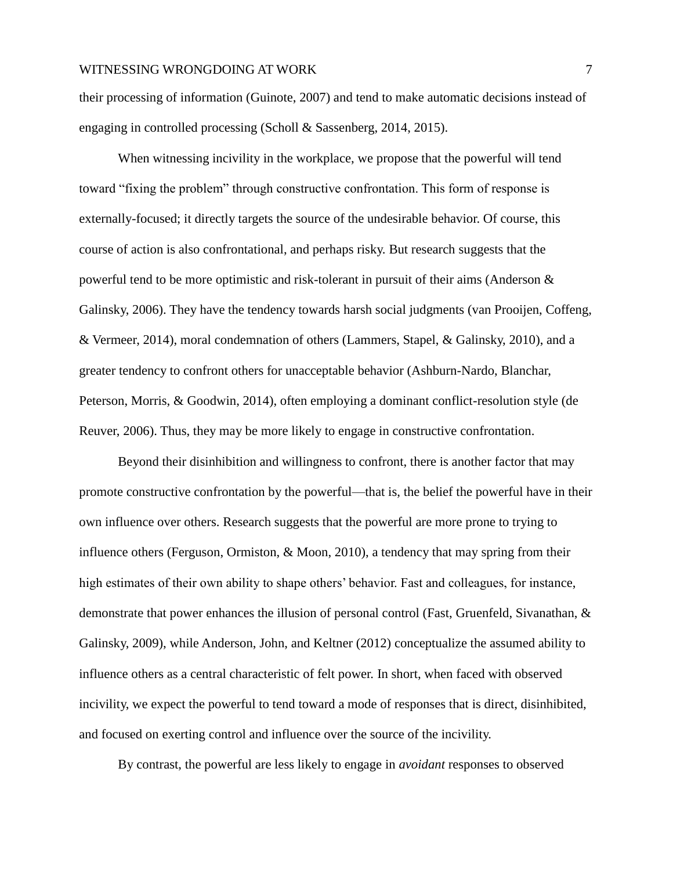their processing of information (Guinote, 2007) and tend to make automatic decisions instead of engaging in controlled processing (Scholl & Sassenberg, 2014, 2015).

When witnessing incivility in the workplace, we propose that the powerful will tend toward "fixing the problem" through constructive confrontation. This form of response is externally-focused; it directly targets the source of the undesirable behavior. Of course, this course of action is also confrontational, and perhaps risky. But research suggests that the powerful tend to be more optimistic and risk-tolerant in pursuit of their aims (Anderson & Galinsky, 2006). They have the tendency towards harsh social judgments (van Prooijen, Coffeng, & Vermeer, 2014), moral condemnation of others (Lammers, Stapel, & Galinsky, 2010), and a greater tendency to confront others for unacceptable behavior (Ashburn-Nardo, Blanchar, Peterson, Morris, & Goodwin, 2014), often employing a dominant conflict-resolution style (de Reuver, 2006). Thus, they may be more likely to engage in constructive confrontation.

Beyond their disinhibition and willingness to confront, there is another factor that may promote constructive confrontation by the powerful—that is, the belief the powerful have in their own influence over others. Research suggests that the powerful are more prone to trying to influence others (Ferguson, Ormiston, & Moon, 2010), a tendency that may spring from their high estimates of their own ability to shape others' behavior. Fast and colleagues, for instance, demonstrate that power enhances the illusion of personal control (Fast, Gruenfeld, Sivanathan, & Galinsky, 2009), while Anderson, John, and Keltner (2012) conceptualize the assumed ability to influence others as a central characteristic of felt power. In short, when faced with observed incivility, we expect the powerful to tend toward a mode of responses that is direct, disinhibited, and focused on exerting control and influence over the source of the incivility.

By contrast, the powerful are less likely to engage in *avoidant* responses to observed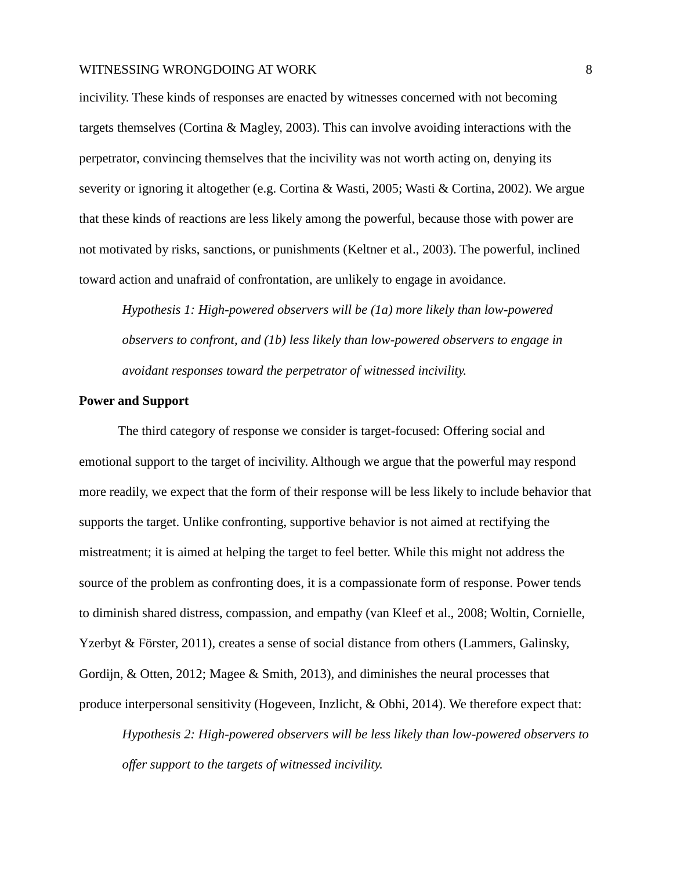incivility. These kinds of responses are enacted by witnesses concerned with not becoming targets themselves (Cortina & Magley, 2003). This can involve avoiding interactions with the perpetrator, convincing themselves that the incivility was not worth acting on, denying its severity or ignoring it altogether (e.g. Cortina & Wasti, 2005; Wasti & Cortina, 2002). We argue that these kinds of reactions are less likely among the powerful, because those with power are not motivated by risks, sanctions, or punishments (Keltner et al., 2003). The powerful, inclined toward action and unafraid of confrontation, are unlikely to engage in avoidance.

*Hypothesis 1: High-powered observers will be (1a) more likely than low-powered observers to confront, and (1b) less likely than low-powered observers to engage in avoidant responses toward the perpetrator of witnessed incivility.*

#### **Power and Support**

The third category of response we consider is target-focused: Offering social and emotional support to the target of incivility. Although we argue that the powerful may respond more readily, we expect that the form of their response will be less likely to include behavior that supports the target. Unlike confronting, supportive behavior is not aimed at rectifying the mistreatment; it is aimed at helping the target to feel better. While this might not address the source of the problem as confronting does, it is a compassionate form of response. Power tends to diminish shared distress, compassion, and empathy (van Kleef et al., 2008; Woltin, Cornielle, Yzerbyt & Förster, 2011), creates a sense of social distance from others (Lammers, Galinsky, Gordijn, & Otten, 2012; Magee & Smith, 2013), and diminishes the neural processes that produce interpersonal sensitivity (Hogeveen, Inzlicht, & Obhi, 2014). We therefore expect that:

*Hypothesis 2: High-powered observers will be less likely than low-powered observers to offer support to the targets of witnessed incivility.*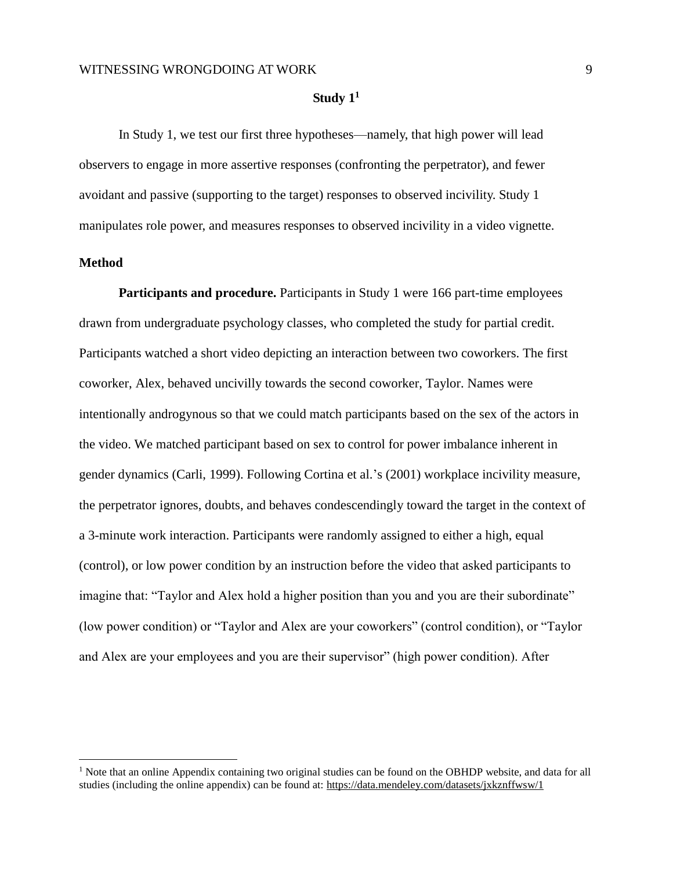#### **Study 1<sup>1</sup>**

In Study 1, we test our first three hypotheses—namely, that high power will lead observers to engage in more assertive responses (confronting the perpetrator), and fewer avoidant and passive (supporting to the target) responses to observed incivility. Study 1 manipulates role power, and measures responses to observed incivility in a video vignette.

#### **Method**

 $\overline{a}$ 

**Participants and procedure.** Participants in Study 1 were 166 part-time employees drawn from undergraduate psychology classes, who completed the study for partial credit. Participants watched a short video depicting an interaction between two coworkers. The first coworker, Alex, behaved uncivilly towards the second coworker, Taylor. Names were intentionally androgynous so that we could match participants based on the sex of the actors in the video. We matched participant based on sex to control for power imbalance inherent in gender dynamics (Carli, 1999). Following Cortina et al.'s (2001) workplace incivility measure, the perpetrator ignores, doubts, and behaves condescendingly toward the target in the context of a 3-minute work interaction. Participants were randomly assigned to either a high, equal (control), or low power condition by an instruction before the video that asked participants to imagine that: "Taylor and Alex hold a higher position than you and you are their subordinate" (low power condition) or "Taylor and Alex are your coworkers" (control condition), or "Taylor and Alex are your employees and you are their supervisor" (high power condition). After

 $<sup>1</sup>$  Note that an online Appendix containing two original studies can be found on the OBHDP website, and data for all</sup> studies (including the online appendix) can be found at:<https://data.mendeley.com/datasets/jxkznffwsw/1>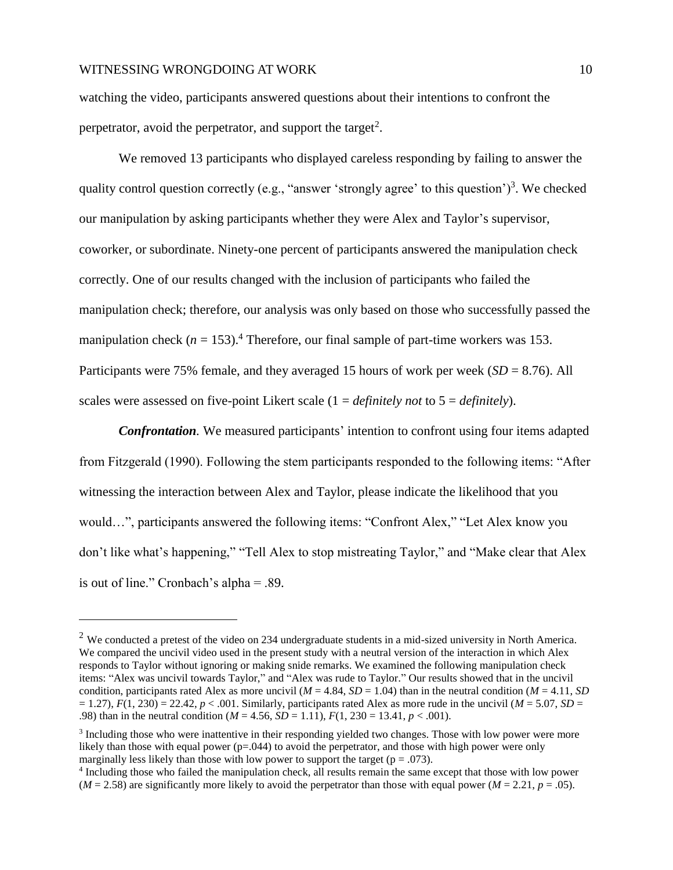$\overline{a}$ 

watching the video, participants answered questions about their intentions to confront the perpetrator, avoid the perpetrator, and support the target<sup>2</sup>.

We removed 13 participants who displayed careless responding by failing to answer the quality control question correctly (e.g., "answer 'strongly agree' to this question')<sup>3</sup>. We checked our manipulation by asking participants whether they were Alex and Taylor's supervisor, coworker, or subordinate. Ninety-one percent of participants answered the manipulation check correctly. One of our results changed with the inclusion of participants who failed the manipulation check; therefore, our analysis was only based on those who successfully passed the manipulation check ( $n = 153$ ).<sup>4</sup> Therefore, our final sample of part-time workers was 153. Participants were 75% female, and they averaged 15 hours of work per week (*SD* = 8.76). All scales were assessed on five-point Likert scale (1 = *definitely not* to 5 = *definitely*).

*Confrontation.* We measured participants' intention to confront using four items adapted from Fitzgerald (1990). Following the stem participants responded to the following items: "After witnessing the interaction between Alex and Taylor, please indicate the likelihood that you would…", participants answered the following items: "Confront Alex," "Let Alex know you don't like what's happening," "Tell Alex to stop mistreating Taylor," and "Make clear that Alex is out of line." Cronbach's alpha = .89.

 $2$  We conducted a pretest of the video on 234 undergraduate students in a mid-sized university in North America. We compared the uncivil video used in the present study with a neutral version of the interaction in which Alex responds to Taylor without ignoring or making snide remarks. We examined the following manipulation check items: "Alex was uncivil towards Taylor," and "Alex was rude to Taylor." Our results showed that in the uncivil condition, participants rated Alex as more uncivil ( $M = 4.84$ ,  $SD = 1.04$ ) than in the neutral condition ( $M = 4.11$ , *SD*  $F(1, 230) = 22.42$ ,  $p < .001$ . Similarly, participants rated Alex as more rude in the uncivil ( $M = 5.07$ ,  $SD = 1.27$ ),  $F(1, 230) = 22.42$ ,  $p < .001$ . Similarly, participants rated Alex as more rude in the uncivil ( $M = 5.07$ , .98) than in the neutral condition (*M* = 4.56, *SD* = 1.11), *F*(1, 230 = 13.41, *p* < .001).

<sup>&</sup>lt;sup>3</sup> Including those who were inattentive in their responding yielded two changes. Those with low power were more likely than those with equal power  $(p=0.044)$  to avoid the perpetrator, and those with high power were only marginally less likely than those with low power to support the target ( $p = .073$ ).

<sup>&</sup>lt;sup>4</sup> Including those who failed the manipulation check, all results remain the same except that those with low power  $(M = 2.58)$  are significantly more likely to avoid the perpetrator than those with equal power  $(M = 2.21, p = .05)$ .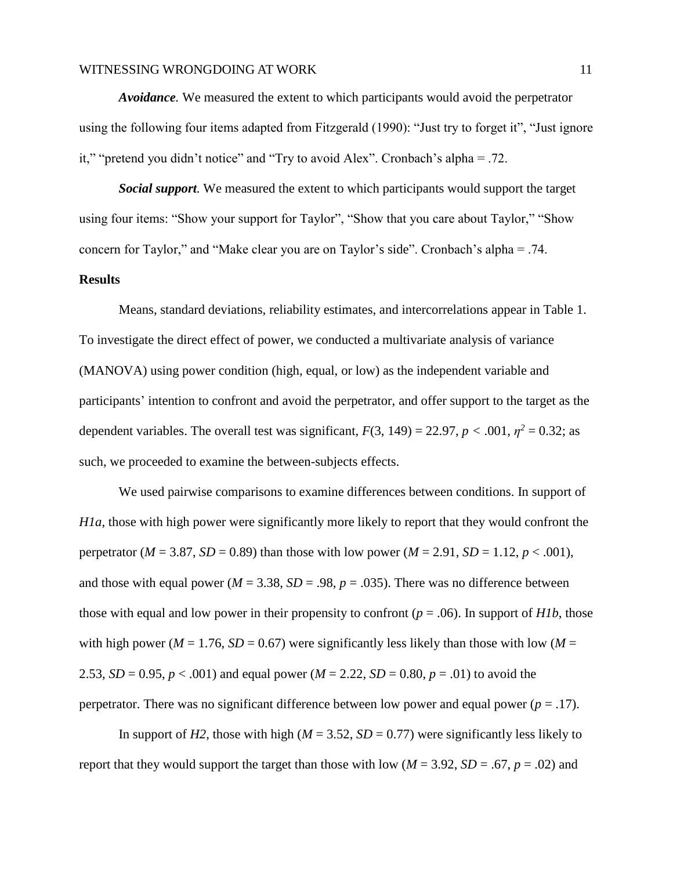*Avoidance.* We measured the extent to which participants would avoid the perpetrator using the following four items adapted from Fitzgerald (1990): "Just try to forget it", "Just ignore it," "pretend you didn't notice" and "Try to avoid Alex". Cronbach's alpha = .72.

*Social support.* We measured the extent to which participants would support the target using four items: "Show your support for Taylor", "Show that you care about Taylor," "Show concern for Taylor," and "Make clear you are on Taylor's side". Cronbach's alpha = .74.

#### **Results**

Means, standard deviations, reliability estimates, and intercorrelations appear in Table 1. To investigate the direct effect of power, we conducted a multivariate analysis of variance (MANOVA) using power condition (high, equal, or low) as the independent variable and participants' intention to confront and avoid the perpetrator, and offer support to the target as the dependent variables. The overall test was significant,  $F(3, 149) = 22.97$ ,  $p < .001$ ,  $\eta^2 = 0.32$ ; as such, we proceeded to examine the between-subjects effects.

We used pairwise comparisons to examine differences between conditions. In support of *H1a*, those with high power were significantly more likely to report that they would confront the perpetrator ( $M = 3.87$ ,  $SD = 0.89$ ) than those with low power ( $M = 2.91$ ,  $SD = 1.12$ ,  $p < .001$ ), and those with equal power ( $M = 3.38$ ,  $SD = .98$ ,  $p = .035$ ). There was no difference between those with equal and low power in their propensity to confront ( $p = .06$ ). In support of *H1b*, those with high power ( $M = 1.76$ ,  $SD = 0.67$ ) were significantly less likely than those with low ( $M =$ 2.53, *SD* = 0.95, *p* < .001) and equal power (*M* = 2.22, *SD* = 0.80, *p* = .01) to avoid the perpetrator. There was no significant difference between low power and equal power  $(p = .17)$ .

In support of *H2*, those with high ( $M = 3.52$ ,  $SD = 0.77$ ) were significantly less likely to report that they would support the target than those with low ( $M = 3.92$ ,  $SD = .67$ ,  $p = .02$ ) and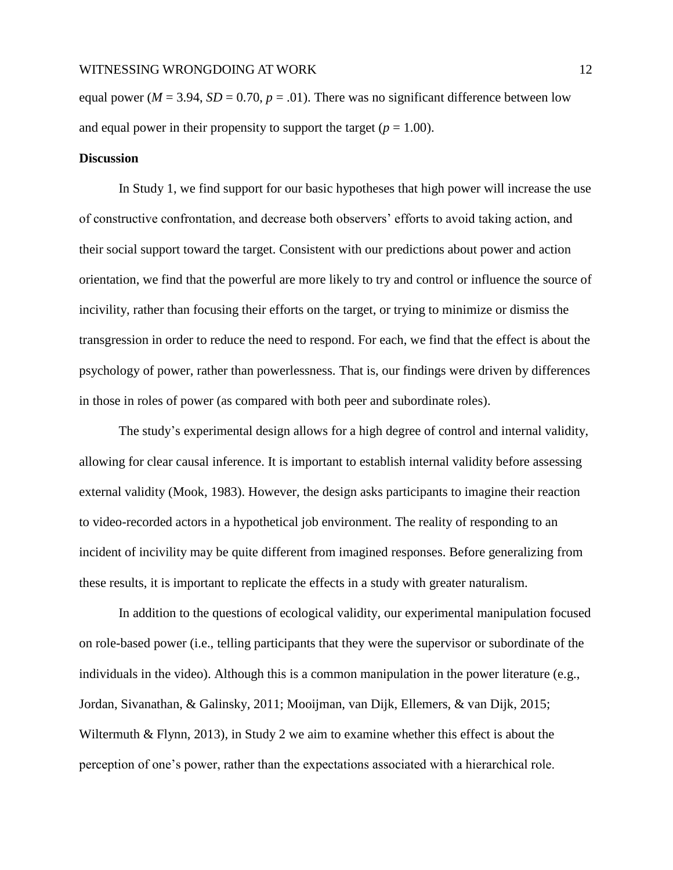equal power ( $M = 3.94$ ,  $SD = 0.70$ ,  $p = .01$ ). There was no significant difference between low and equal power in their propensity to support the target  $(p = 1.00)$ .

#### **Discussion**

In Study 1, we find support for our basic hypotheses that high power will increase the use of constructive confrontation, and decrease both observers' efforts to avoid taking action, and their social support toward the target. Consistent with our predictions about power and action orientation, we find that the powerful are more likely to try and control or influence the source of incivility, rather than focusing their efforts on the target, or trying to minimize or dismiss the transgression in order to reduce the need to respond. For each, we find that the effect is about the psychology of power, rather than powerlessness. That is, our findings were driven by differences in those in roles of power (as compared with both peer and subordinate roles).

The study's experimental design allows for a high degree of control and internal validity, allowing for clear causal inference. It is important to establish internal validity before assessing external validity (Mook, 1983). However, the design asks participants to imagine their reaction to video-recorded actors in a hypothetical job environment. The reality of responding to an incident of incivility may be quite different from imagined responses. Before generalizing from these results, it is important to replicate the effects in a study with greater naturalism.

In addition to the questions of ecological validity, our experimental manipulation focused on role-based power (i.e., telling participants that they were the supervisor or subordinate of the individuals in the video). Although this is a common manipulation in the power literature (e.g., Jordan, Sivanathan, & Galinsky, 2011; Mooijman, van Dijk, Ellemers, & van Dijk, 2015; Wiltermuth & Flynn, 2013), in Study 2 we aim to examine whether this effect is about the perception of one's power, rather than the expectations associated with a hierarchical role.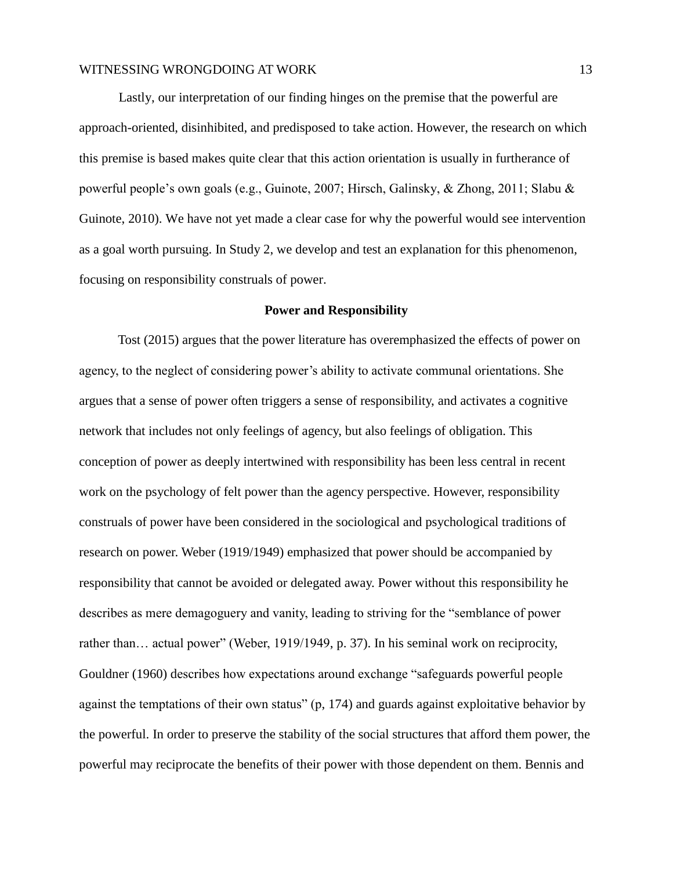Lastly, our interpretation of our finding hinges on the premise that the powerful are approach-oriented, disinhibited, and predisposed to take action. However, the research on which this premise is based makes quite clear that this action orientation is usually in furtherance of powerful people's own goals (e.g., Guinote, 2007; Hirsch, Galinsky, & Zhong, 2011; Slabu & Guinote, 2010). We have not yet made a clear case for why the powerful would see intervention as a goal worth pursuing. In Study 2, we develop and test an explanation for this phenomenon, focusing on responsibility construals of power.

#### **Power and Responsibility**

Tost (2015) argues that the power literature has overemphasized the effects of power on agency, to the neglect of considering power's ability to activate communal orientations. She argues that a sense of power often triggers a sense of responsibility, and activates a cognitive network that includes not only feelings of agency, but also feelings of obligation. This conception of power as deeply intertwined with responsibility has been less central in recent work on the psychology of felt power than the agency perspective. However, responsibility construals of power have been considered in the sociological and psychological traditions of research on power. Weber (1919/1949) emphasized that power should be accompanied by responsibility that cannot be avoided or delegated away. Power without this responsibility he describes as mere demagoguery and vanity, leading to striving for the "semblance of power rather than… actual power" (Weber, 1919/1949, p. 37). In his seminal work on reciprocity, Gouldner (1960) describes how expectations around exchange "safeguards powerful people against the temptations of their own status" (p, 174) and guards against exploitative behavior by the powerful. In order to preserve the stability of the social structures that afford them power, the powerful may reciprocate the benefits of their power with those dependent on them. Bennis and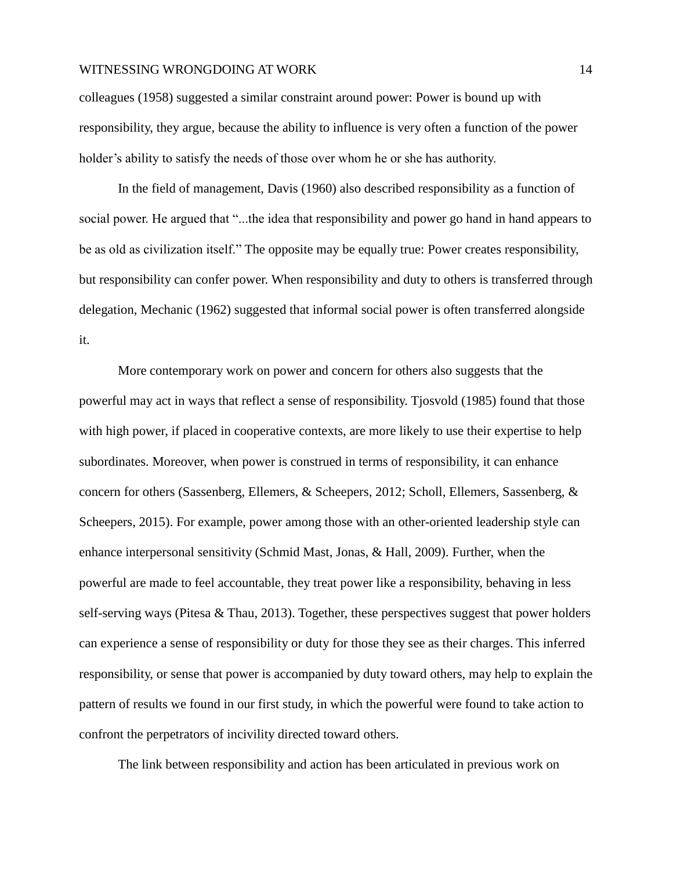colleagues (1958) suggested a similar constraint around power: Power is bound up with responsibility, they argue, because the ability to influence is very often a function of the power holder's ability to satisfy the needs of those over whom he or she has authority.

In the field of management, Davis (1960) also described responsibility as a function of social power. He argued that "...the idea that responsibility and power go hand in hand appears to be as old as civilization itself." The opposite may be equally true: Power creates responsibility, but responsibility can confer power. When responsibility and duty to others is transferred through delegation, Mechanic (1962) suggested that informal social power is often transferred alongside it.

More contemporary work on power and concern for others also suggests that the powerful may act in ways that reflect a sense of responsibility. Tjosvold (1985) found that those with high power, if placed in cooperative contexts, are more likely to use their expertise to help subordinates. Moreover, when power is construed in terms of responsibility, it can enhance concern for others (Sassenberg, Ellemers, & Scheepers, 2012; Scholl, Ellemers, Sassenberg, & Scheepers, 2015). For example, power among those with an other-oriented leadership style can enhance interpersonal sensitivity (Schmid Mast, Jonas, & Hall, 2009). Further, when the powerful are made to feel accountable, they treat power like a responsibility, behaving in less self-serving ways (Pitesa & Thau, 2013). Together, these perspectives suggest that power holders can experience a sense of responsibility or duty for those they see as their charges. This inferred responsibility, or sense that power is accompanied by duty toward others, may help to explain the pattern of results we found in our first study, in which the powerful were found to take action to confront the perpetrators of incivility directed toward others.

The link between responsibility and action has been articulated in previous work on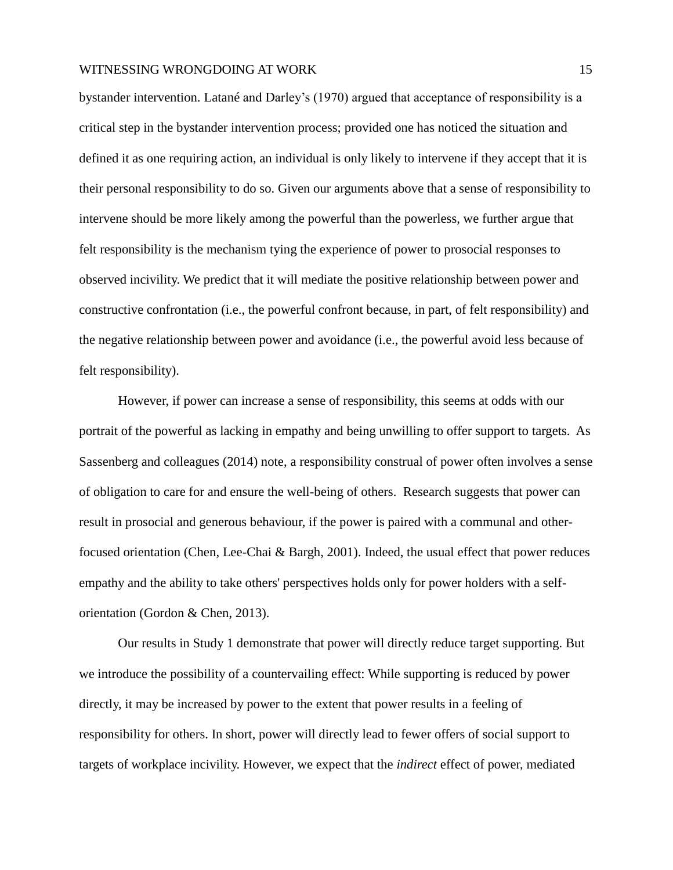bystander intervention. Latané and Darley's (1970) argued that acceptance of responsibility is a critical step in the bystander intervention process; provided one has noticed the situation and defined it as one requiring action, an individual is only likely to intervene if they accept that it is their personal responsibility to do so. Given our arguments above that a sense of responsibility to intervene should be more likely among the powerful than the powerless, we further argue that felt responsibility is the mechanism tying the experience of power to prosocial responses to observed incivility. We predict that it will mediate the positive relationship between power and constructive confrontation (i.e., the powerful confront because, in part, of felt responsibility) and the negative relationship between power and avoidance (i.e., the powerful avoid less because of felt responsibility).

However, if power can increase a sense of responsibility, this seems at odds with our portrait of the powerful as lacking in empathy and being unwilling to offer support to targets. As Sassenberg and colleagues (2014) note, a responsibility construal of power often involves a sense of obligation to care for and ensure the well-being of others. Research suggests that power can result in prosocial and generous behaviour, if the power is paired with a communal and otherfocused orientation (Chen, Lee-Chai & Bargh, 2001). Indeed, the usual effect that power reduces empathy and the ability to take others' perspectives holds only for power holders with a selforientation (Gordon & Chen, 2013).

Our results in Study 1 demonstrate that power will directly reduce target supporting. But we introduce the possibility of a countervailing effect: While supporting is reduced by power directly, it may be increased by power to the extent that power results in a feeling of responsibility for others. In short, power will directly lead to fewer offers of social support to targets of workplace incivility. However, we expect that the *indirect* effect of power, mediated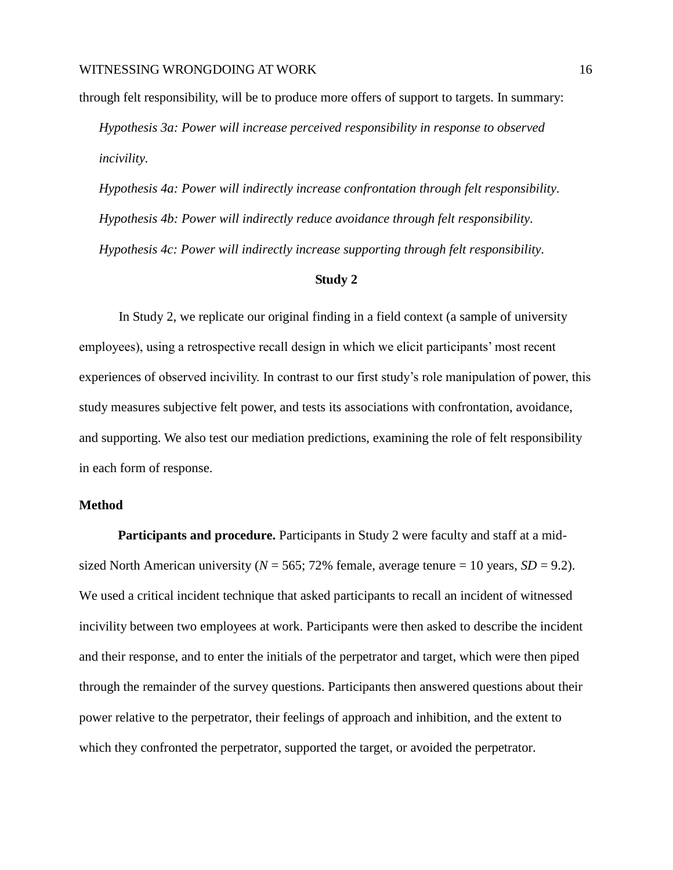through felt responsibility, will be to produce more offers of support to targets. In summary:

*Hypothesis 3a: Power will increase perceived responsibility in response to observed incivility.*

*Hypothesis 4a: Power will indirectly increase confrontation through felt responsibility. Hypothesis 4b: Power will indirectly reduce avoidance through felt responsibility. Hypothesis 4c: Power will indirectly increase supporting through felt responsibility.*

#### **Study 2**

In Study 2, we replicate our original finding in a field context (a sample of university employees), using a retrospective recall design in which we elicit participants' most recent experiences of observed incivility. In contrast to our first study's role manipulation of power, this study measures subjective felt power, and tests its associations with confrontation, avoidance, and supporting. We also test our mediation predictions, examining the role of felt responsibility in each form of response.

#### **Method**

**Participants and procedure.** Participants in Study 2 were faculty and staff at a midsized North American university ( $N = 565$ ; 72% female, average tenure = 10 years,  $SD = 9.2$ ). We used a critical incident technique that asked participants to recall an incident of witnessed incivility between two employees at work. Participants were then asked to describe the incident and their response, and to enter the initials of the perpetrator and target, which were then piped through the remainder of the survey questions. Participants then answered questions about their power relative to the perpetrator, their feelings of approach and inhibition, and the extent to which they confronted the perpetrator, supported the target, or avoided the perpetrator.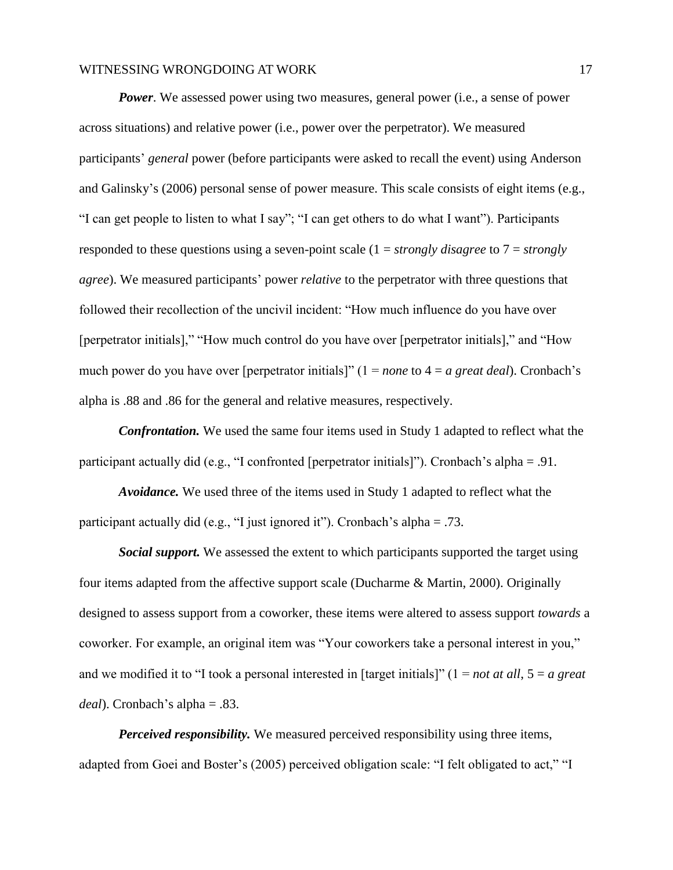*Power*. We assessed power using two measures, general power (i.e., a sense of power across situations) and relative power (i.e., power over the perpetrator). We measured participants' *general* power (before participants were asked to recall the event) using Anderson and Galinsky's (2006) personal sense of power measure. This scale consists of eight items (e.g., "I can get people to listen to what I say"; "I can get others to do what I want"). Participants responded to these questions using a seven-point scale (1 = *strongly disagree* to 7 = *strongly agree*). We measured participants' power *relative* to the perpetrator with three questions that followed their recollection of the uncivil incident: "How much influence do you have over [perpetrator initials]," "How much control do you have over [perpetrator initials]," and "How much power do you have over [perpetrator initials]" (1 = *none* to 4 = *a great deal*). Cronbach's alpha is .88 and .86 for the general and relative measures, respectively.

*Confrontation.* We used the same four items used in Study 1 adapted to reflect what the participant actually did (e.g., "I confronted [perpetrator initials]"). Cronbach's alpha = .91.

*Avoidance.* We used three of the items used in Study 1 adapted to reflect what the participant actually did (e.g., "I just ignored it"). Cronbach's alpha = .73.

*Social support.* We assessed the extent to which participants supported the target using four items adapted from the affective support scale (Ducharme & Martin, 2000). Originally designed to assess support from a coworker, these items were altered to assess support *towards* a coworker. For example, an original item was "Your coworkers take a personal interest in you," and we modified it to "I took a personal interested in [target initials]" (1 = *not at all*, 5 = *a great deal*). Cronbach's alpha = .83.

*Perceived responsibility.* We measured perceived responsibility using three items, adapted from Goei and Boster's (2005) perceived obligation scale: "I felt obligated to act," "I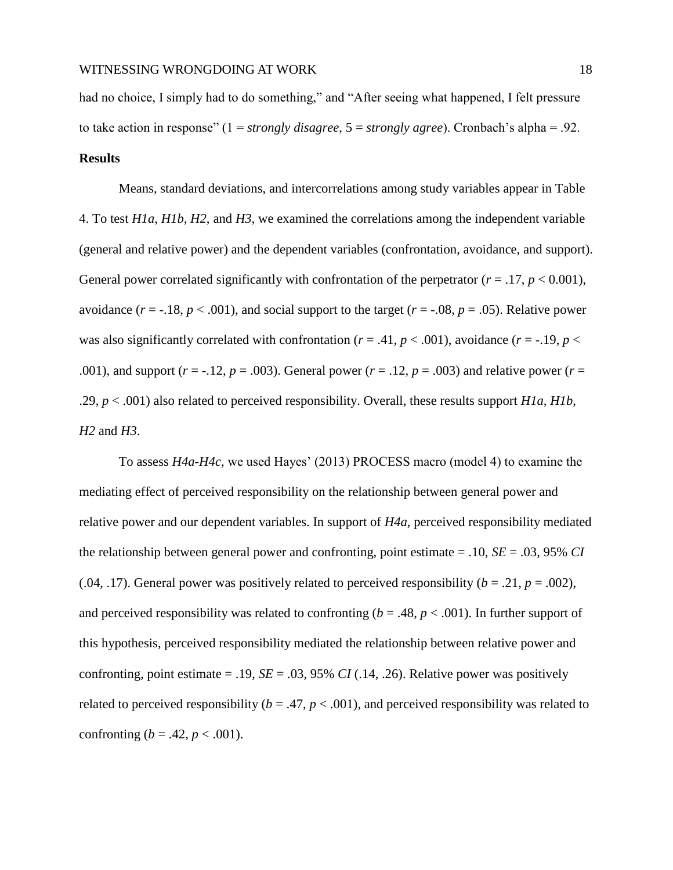had no choice, I simply had to do something," and "After seeing what happened, I felt pressure to take action in response" (1 = *strongly disagree*, 5 = *strongly agree*). Cronbach's alpha = .92. **Results**

Means, standard deviations, and intercorrelations among study variables appear in Table 4. To test *H1a*, *H1b, H2*, and *H3*, we examined the correlations among the independent variable (general and relative power) and the dependent variables (confrontation, avoidance, and support). General power correlated significantly with confrontation of the perpetrator  $(r = .17, p < 0.001)$ , avoidance  $(r = -18, p < .001)$ , and social support to the target  $(r = -0.08, p = .05)$ . Relative power was also significantly correlated with confrontation ( $r = .41$ ,  $p < .001$ ), avoidance ( $r = .19$ ,  $p <$ .001), and support ( $r = -12$ ,  $p = .003$ ). General power ( $r = .12$ ,  $p = .003$ ) and relative power ( $r = .001$ ). .29, *p* < .001) also related to perceived responsibility. Overall, these results support *H1a, H1b*, *H2* and *H3*.

To assess *H4a-H4c,* we used Hayes' (2013) PROCESS macro (model 4) to examine the mediating effect of perceived responsibility on the relationship between general power and relative power and our dependent variables. In support of *H4a*, perceived responsibility mediated the relationship between general power and confronting, point estimate = .10, *SE* = .03, 95% *CI* (.04, .17). General power was positively related to perceived responsibility  $(b = .21, p = .002)$ , and perceived responsibility was related to confronting ( $b = .48$ ,  $p < .001$ ). In further support of this hypothesis, perceived responsibility mediated the relationship between relative power and confronting, point estimate = .19,  $SE = .03$ , 95%  $CI(.14, .26)$ . Relative power was positively related to perceived responsibility ( $b = .47$ ,  $p < .001$ ), and perceived responsibility was related to confronting (*b* = .42, *p* < .001).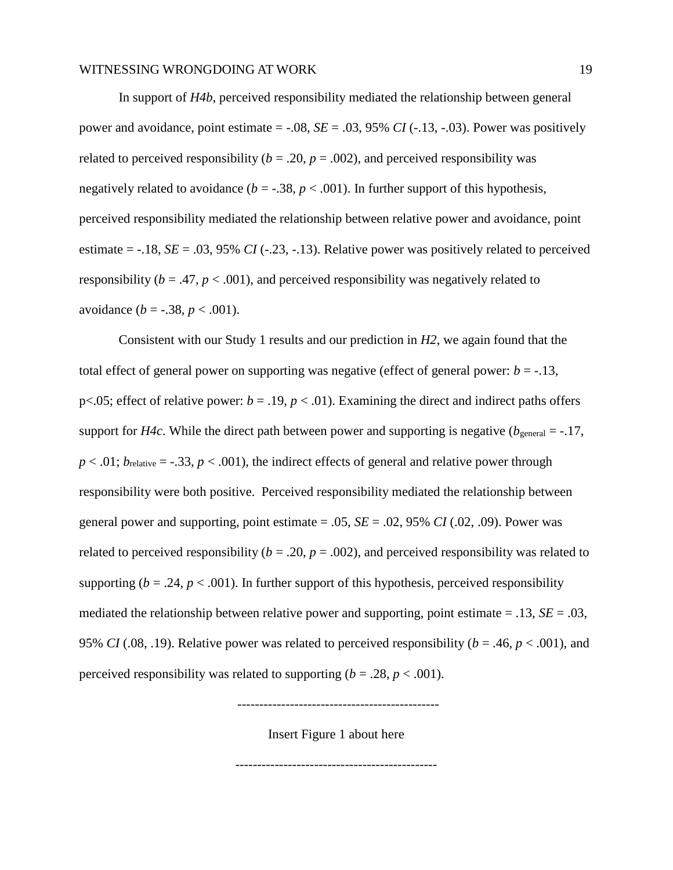In support of *H4b*, perceived responsibility mediated the relationship between general power and avoidance, point estimate  $=$  -.08, *SE*  $=$  .03, 95% *CI* (-.13, -.03). Power was positively related to perceived responsibility ( $b = .20$ ,  $p = .002$ ), and perceived responsibility was negatively related to avoidance ( $b = -0.38$ ,  $p < 0.001$ ). In further support of this hypothesis, perceived responsibility mediated the relationship between relative power and avoidance, point estimate  $=$  -.18, *SE*  $=$  .03, 95% *CI* (-.23, -.13). Relative power was positively related to perceived responsibility ( $b = .47$ ,  $p < .001$ ), and perceived responsibility was negatively related to avoidance  $(b = -.38, p < .001)$ .

Consistent with our Study 1 results and our prediction in *H2*, we again found that the total effect of general power on supporting was negative (effect of general power:  $b = -13$ , p<.05; effect of relative power:  $b = .19$ ,  $p < .01$ ). Examining the direct and indirect paths offers support for *H4c*. While the direct path between power and supporting is negative ( $b_{\text{general}} = -.17$ ,  $p < .01$ ;  $b_{\text{relative}} = -.33$ ,  $p < .001$ ), the indirect effects of general and relative power through responsibility were both positive. Perceived responsibility mediated the relationship between general power and supporting, point estimate  $= .05$ ,  $SE = .02$ , 95% *CI* (.02, .09). Power was related to perceived responsibility ( $b = .20$ ,  $p = .002$ ), and perceived responsibility was related to supporting ( $b = .24$ ,  $p < .001$ ). In further support of this hypothesis, perceived responsibility mediated the relationship between relative power and supporting, point estimate  $= .13$ , *SE*  $= .03$ , 95% *CI* (.08, .19). Relative power was related to perceived responsibility ( $b = .46$ ,  $p < .001$ ), and perceived responsibility was related to supporting  $(b = .28, p < .001)$ .

----------------------------------------------

Insert Figure 1 about here

----------------------------------------------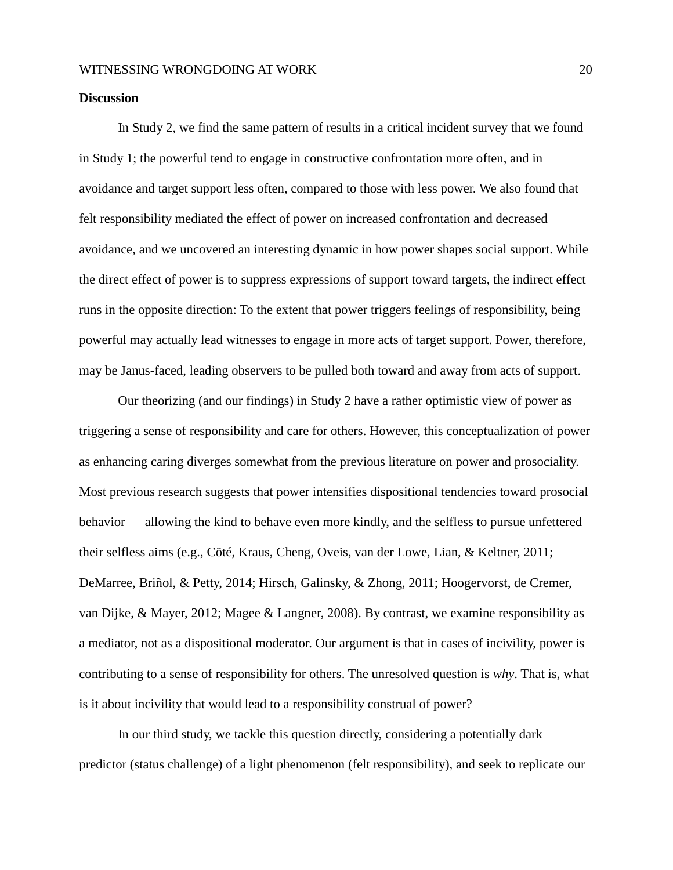#### **Discussion**

In Study 2, we find the same pattern of results in a critical incident survey that we found in Study 1; the powerful tend to engage in constructive confrontation more often, and in avoidance and target support less often, compared to those with less power. We also found that felt responsibility mediated the effect of power on increased confrontation and decreased avoidance, and we uncovered an interesting dynamic in how power shapes social support. While the direct effect of power is to suppress expressions of support toward targets, the indirect effect runs in the opposite direction: To the extent that power triggers feelings of responsibility, being powerful may actually lead witnesses to engage in more acts of target support. Power, therefore, may be Janus-faced, leading observers to be pulled both toward and away from acts of support.

Our theorizing (and our findings) in Study 2 have a rather optimistic view of power as triggering a sense of responsibility and care for others. However, this conceptualization of power as enhancing caring diverges somewhat from the previous literature on power and prosociality. Most previous research suggests that power intensifies dispositional tendencies toward prosocial behavior — allowing the kind to behave even more kindly, and the selfless to pursue unfettered their selfless aims (e.g., Cöté, Kraus, Cheng, Oveis, van der Lowe, Lian, & Keltner, 2011; DeMarree, Briñol, & Petty, 2014; Hirsch, Galinsky, & Zhong, 2011; Hoogervorst, de Cremer, van Dijke, & Mayer, 2012; Magee & Langner, 2008). By contrast, we examine responsibility as a mediator, not as a dispositional moderator. Our argument is that in cases of incivility, power is contributing to a sense of responsibility for others. The unresolved question is *why*. That is, what is it about incivility that would lead to a responsibility construal of power?

In our third study, we tackle this question directly, considering a potentially dark predictor (status challenge) of a light phenomenon (felt responsibility), and seek to replicate our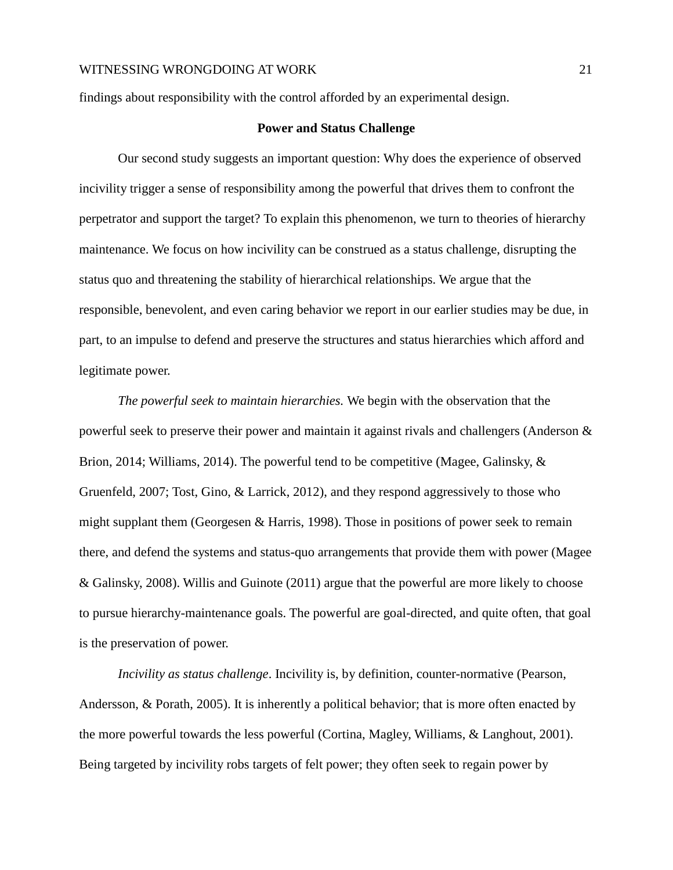findings about responsibility with the control afforded by an experimental design.

#### **Power and Status Challenge**

Our second study suggests an important question: Why does the experience of observed incivility trigger a sense of responsibility among the powerful that drives them to confront the perpetrator and support the target? To explain this phenomenon, we turn to theories of hierarchy maintenance. We focus on how incivility can be construed as a status challenge, disrupting the status quo and threatening the stability of hierarchical relationships. We argue that the responsible, benevolent, and even caring behavior we report in our earlier studies may be due, in part, to an impulse to defend and preserve the structures and status hierarchies which afford and legitimate power.

*The powerful seek to maintain hierarchies.* We begin with the observation that the powerful seek to preserve their power and maintain it against rivals and challengers (Anderson & Brion, 2014; Williams, 2014). The powerful tend to be competitive (Magee, Galinsky, & Gruenfeld, 2007; Tost, Gino, & Larrick, 2012), and they respond aggressively to those who might supplant them (Georgesen & Harris, 1998). Those in positions of power seek to remain there, and defend the systems and status-quo arrangements that provide them with power (Magee & Galinsky, 2008). Willis and Guinote (2011) argue that the powerful are more likely to choose to pursue hierarchy-maintenance goals. The powerful are goal-directed, and quite often, that goal is the preservation of power.

*Incivility as status challenge*. Incivility is, by definition, counter-normative (Pearson, Andersson, & Porath, 2005). It is inherently a political behavior; that is more often enacted by the more powerful towards the less powerful (Cortina, Magley, Williams, & Langhout, 2001). Being targeted by incivility robs targets of felt power; they often seek to regain power by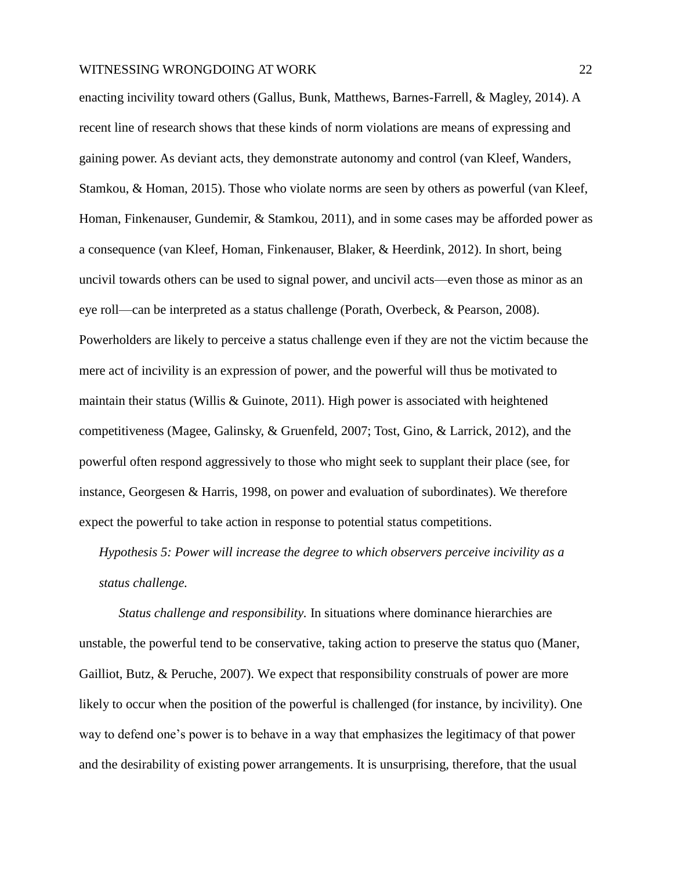enacting incivility toward others (Gallus, Bunk, Matthews, Barnes-Farrell, & Magley, 2014). A recent line of research shows that these kinds of norm violations are means of expressing and gaining power. As deviant acts, they demonstrate autonomy and control (van Kleef, Wanders, Stamkou, & Homan, 2015). Those who violate norms are seen by others as powerful (van Kleef, Homan, Finkenauser, Gundemir, & Stamkou, 2011), and in some cases may be afforded power as a consequence (van Kleef, Homan, Finkenauser, Blaker, & Heerdink, 2012). In short, being uncivil towards others can be used to signal power, and uncivil acts—even those as minor as an eye roll—can be interpreted as a status challenge (Porath, Overbeck, & Pearson, 2008). Powerholders are likely to perceive a status challenge even if they are not the victim because the mere act of incivility is an expression of power, and the powerful will thus be motivated to maintain their status (Willis & Guinote, 2011). High power is associated with heightened competitiveness (Magee, Galinsky, & Gruenfeld, 2007; Tost, Gino, & Larrick, 2012), and the powerful often respond aggressively to those who might seek to supplant their place (see, for instance, Georgesen & Harris, 1998, on power and evaluation of subordinates). We therefore expect the powerful to take action in response to potential status competitions.

*Hypothesis 5: Power will increase the degree to which observers perceive incivility as a status challenge.*

*Status challenge and responsibility.* In situations where dominance hierarchies are unstable, the powerful tend to be conservative, taking action to preserve the status quo (Maner, Gailliot, Butz, & Peruche, 2007). We expect that responsibility construals of power are more likely to occur when the position of the powerful is challenged (for instance, by incivility). One way to defend one's power is to behave in a way that emphasizes the legitimacy of that power and the desirability of existing power arrangements. It is unsurprising, therefore, that the usual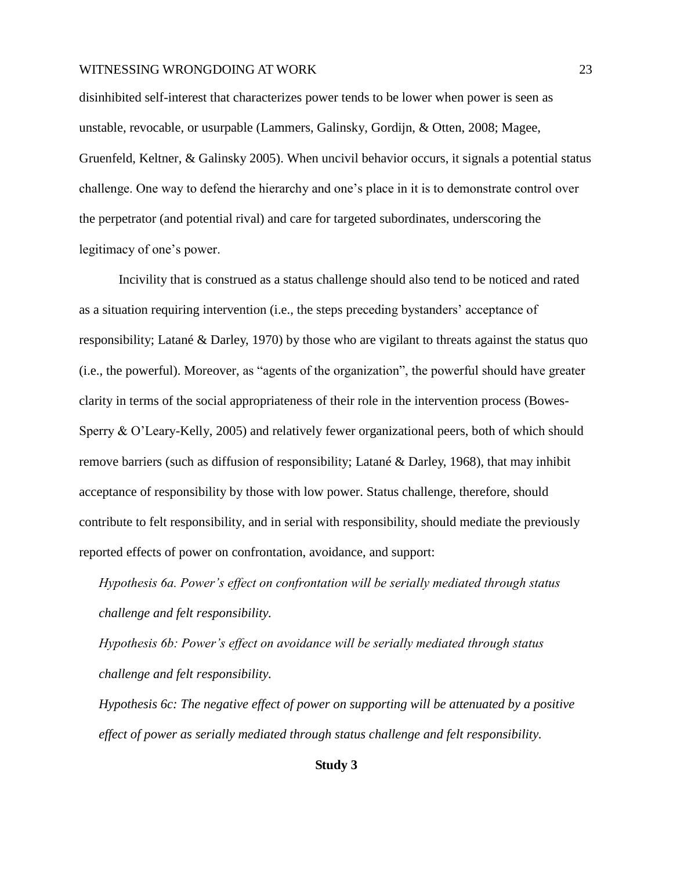disinhibited self-interest that characterizes power tends to be lower when power is seen as unstable, revocable, or usurpable (Lammers, Galinsky, Gordijn, & Otten, 2008; Magee, Gruenfeld, Keltner, & Galinsky 2005). When uncivil behavior occurs, it signals a potential status challenge. One way to defend the hierarchy and one's place in it is to demonstrate control over the perpetrator (and potential rival) and care for targeted subordinates, underscoring the legitimacy of one's power.

Incivility that is construed as a status challenge should also tend to be noticed and rated as a situation requiring intervention (i.e., the steps preceding bystanders' acceptance of responsibility; Latané & Darley, 1970) by those who are vigilant to threats against the status quo (i.e., the powerful). Moreover, as "agents of the organization", the powerful should have greater clarity in terms of the social appropriateness of their role in the intervention process (Bowes-Sperry & O'Leary-Kelly, 2005) and relatively fewer organizational peers, both of which should remove barriers (such as diffusion of responsibility; Latané & Darley, 1968), that may inhibit acceptance of responsibility by those with low power. Status challenge, therefore, should contribute to felt responsibility, and in serial with responsibility, should mediate the previously reported effects of power on confrontation, avoidance, and support:

*Hypothesis 6a. Power's effect on confrontation will be serially mediated through status challenge and felt responsibility.*

*Hypothesis 6b: Power's effect on avoidance will be serially mediated through status challenge and felt responsibility.*

*Hypothesis 6c: The negative effect of power on supporting will be attenuated by a positive effect of power as serially mediated through status challenge and felt responsibility.*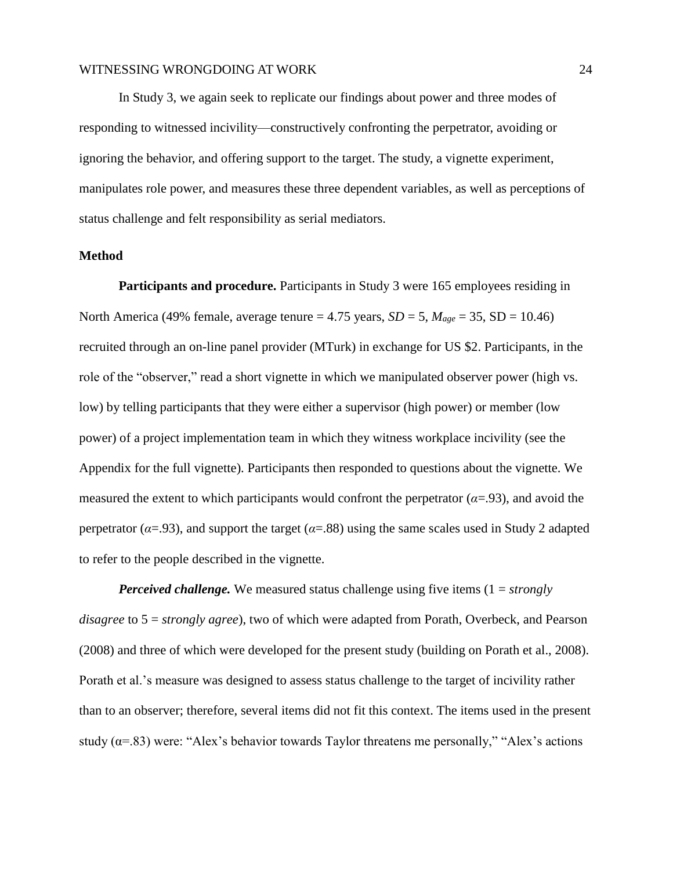In Study 3, we again seek to replicate our findings about power and three modes of responding to witnessed incivility—constructively confronting the perpetrator, avoiding or ignoring the behavior, and offering support to the target. The study, a vignette experiment, manipulates role power, and measures these three dependent variables, as well as perceptions of status challenge and felt responsibility as serial mediators.

#### **Method**

**Participants and procedure.** Participants in Study 3 were 165 employees residing in North America (49% female, average tenure = 4.75 years,  $SD = 5$ ,  $M_{age} = 35$ ,  $SD = 10.46$ ) recruited through an on-line panel provider (MTurk) in exchange for US \$2. Participants, in the role of the "observer," read a short vignette in which we manipulated observer power (high vs. low) by telling participants that they were either a supervisor (high power) or member (low power) of a project implementation team in which they witness workplace incivility (see the Appendix for the full vignette). Participants then responded to questions about the vignette. We measured the extent to which participants would confront the perpetrator  $(\alpha = .93)$ , and avoid the perpetrator ( $\alpha = .93$ ), and support the target ( $\alpha = .88$ ) using the same scales used in Study 2 adapted to refer to the people described in the vignette.

*Perceived challenge.* We measured status challenge using five items (1 = *strongly disagree* to 5 = *strongly agree*), two of which were adapted from Porath, Overbeck, and Pearson (2008) and three of which were developed for the present study (building on Porath et al., 2008). Porath et al.'s measure was designed to assess status challenge to the target of incivility rather than to an observer; therefore, several items did not fit this context. The items used in the present study ( $\alpha$ =.83) were: "Alex's behavior towards Taylor threatens me personally," "Alex's actions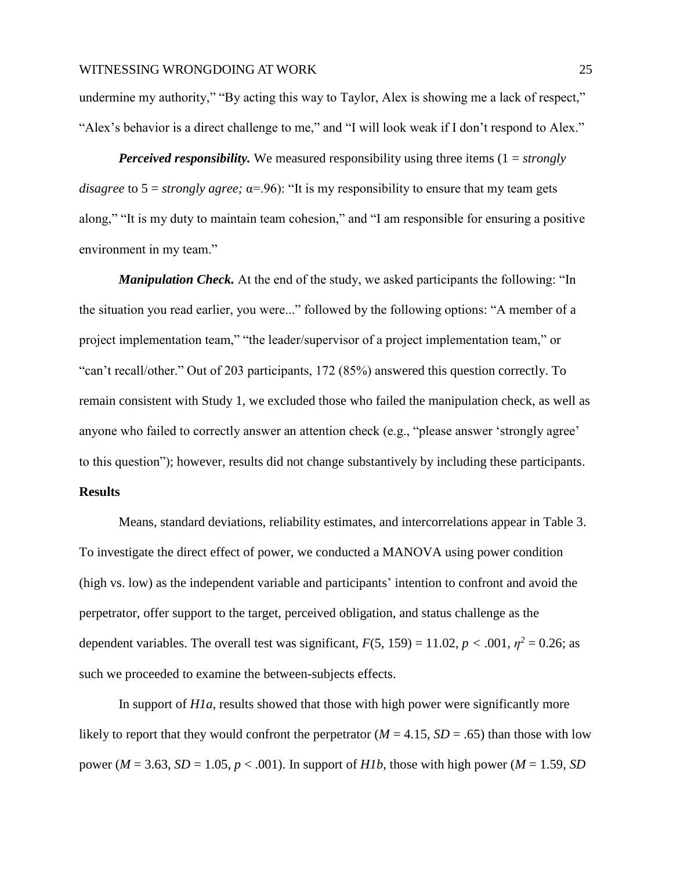*Perceived responsibility.* We measured responsibility using three items (1 = *strongly disagree* to  $5 =$  *strongly agree;*  $\alpha = 96$ ): "It is my responsibility to ensure that my team gets along," "It is my duty to maintain team cohesion," and "I am responsible for ensuring a positive environment in my team."

*Manipulation Check.* At the end of the study, we asked participants the following: "In the situation you read earlier, you were..." followed by the following options: "A member of a project implementation team," "the leader/supervisor of a project implementation team," or "can't recall/other." Out of 203 participants, 172 (85%) answered this question correctly. To remain consistent with Study 1, we excluded those who failed the manipulation check, as well as anyone who failed to correctly answer an attention check (e.g., "please answer 'strongly agree' to this question"); however, results did not change substantively by including these participants.

#### **Results**

Means, standard deviations, reliability estimates, and intercorrelations appear in Table 3. To investigate the direct effect of power, we conducted a MANOVA using power condition (high vs. low) as the independent variable and participants' intention to confront and avoid the perpetrator, offer support to the target, perceived obligation, and status challenge as the dependent variables. The overall test was significant,  $F(5, 159) = 11.02$ ,  $p < .001$ ,  $\eta^2 = 0.26$ ; as such we proceeded to examine the between-subjects effects.

In support of *H1a*, results showed that those with high power were significantly more likely to report that they would confront the perpetrator  $(M = 4.15, SD = .65)$  than those with low power ( $M = 3.63$ ,  $SD = 1.05$ ,  $p < .001$ ). In support of *H1b*, those with high power ( $M = 1.59$ , *SD*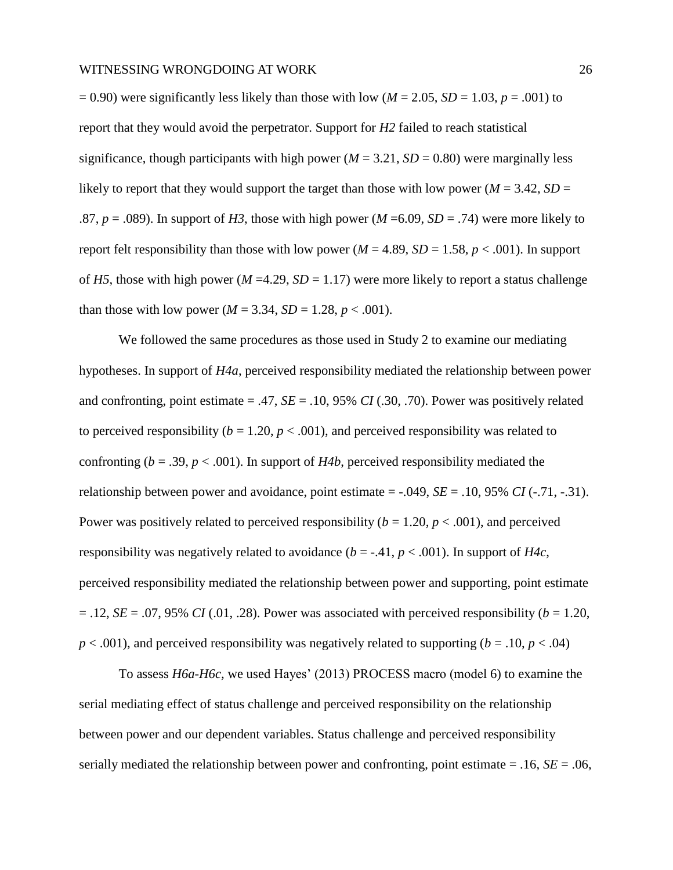$= 0.90$ ) were significantly less likely than those with low ( $M = 2.05$ ,  $SD = 1.03$ ,  $p = .001$ ) to report that they would avoid the perpetrator. Support for *H2* failed to reach statistical significance, though participants with high power ( $M = 3.21$ ,  $SD = 0.80$ ) were marginally less likely to report that they would support the target than those with low power ( $M = 3.42$ ,  $SD =$ .87,  $p = .089$ ). In support of *H3*, those with high power (*M* = 6.09, *SD* = .74) were more likely to report felt responsibility than those with low power ( $M = 4.89$ ,  $SD = 1.58$ ,  $p < .001$ ). In support of *H5*, those with high power ( $M = 4.29$ ,  $SD = 1.17$ ) were more likely to report a status challenge than those with low power ( $M = 3.34$ ,  $SD = 1.28$ ,  $p < .001$ ).

We followed the same procedures as those used in Study 2 to examine our mediating hypotheses. In support of *H4a*, perceived responsibility mediated the relationship between power and confronting, point estimate  $= .47$ , *SE*  $= .10, 95\%$  *CI* (.30, .70). Power was positively related to perceived responsibility ( $b = 1.20$ ,  $p < .001$ ), and perceived responsibility was related to confronting ( $b = .39$ ,  $p < .001$ ). In support of *H4b*, perceived responsibility mediated the relationship between power and avoidance, point estimate  $=$  -.049, *SE*  $=$  .10, 95% *CI* (-.71, -.31). Power was positively related to perceived responsibility  $(b = 1.20, p < .001)$ , and perceived responsibility was negatively related to avoidance  $(b = -0.41, p < 0.001)$ . In support of *H4c*, perceived responsibility mediated the relationship between power and supporting, point estimate  $= .12$ , *SE* = .07, 95% *CI* (.01, .28). Power was associated with perceived responsibility (*b* = 1.20,  $p < .001$ ), and perceived responsibility was negatively related to supporting ( $b = .10, p < .04$ )

To assess *H6a-H6c,* we used Hayes' (2013) PROCESS macro (model 6) to examine the serial mediating effect of status challenge and perceived responsibility on the relationship between power and our dependent variables. Status challenge and perceived responsibility serially mediated the relationship between power and confronting, point estimate  $= .16$ ,  $SE = .06$ ,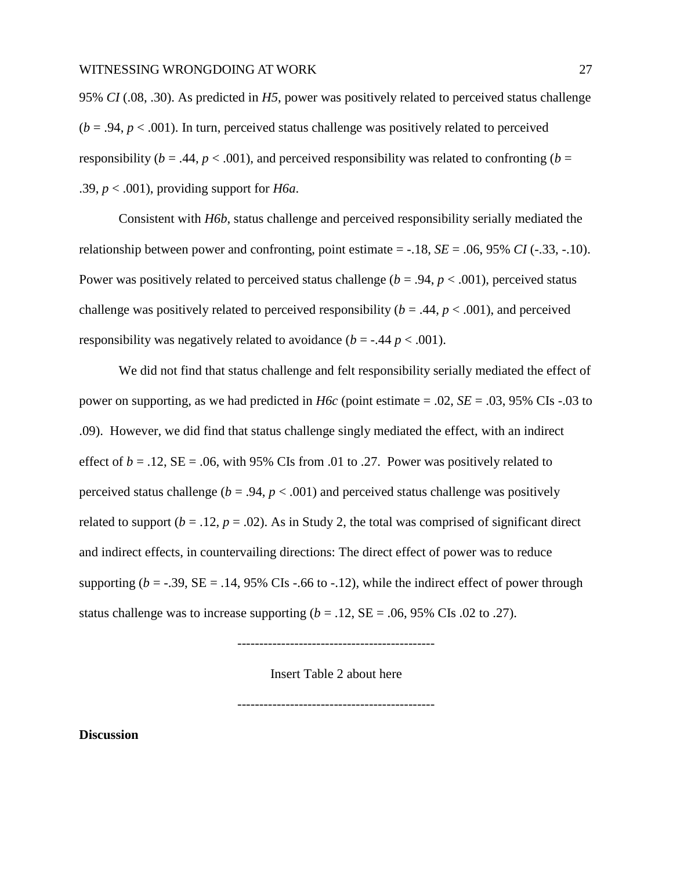95% *CI* (.08, .30). As predicted in *H5*, power was positively related to perceived status challenge  $(b = .94, p < .001)$ . In turn, perceived status challenge was positively related to perceived responsibility ( $b = .44$ ,  $p < .001$ ), and perceived responsibility was related to confronting ( $b =$ .39,  $p < .001$ ), providing support for *H6a*.

Consistent with *H6b*, status challenge and perceived responsibility serially mediated the relationship between power and confronting, point estimate = -.18, *SE* = .06, 95% *CI* (-.33, -.10). Power was positively related to perceived status challenge ( $b = .94$ ,  $p < .001$ ), perceived status challenge was positively related to perceived responsibility  $(b = .44, p < .001)$ , and perceived responsibility was negatively related to avoidance  $(b = -0.44 \, p < 0.001)$ .

We did not find that status challenge and felt responsibility serially mediated the effect of power on supporting, as we had predicted in *H6c* (point estimate = .02, *SE* = .03, 95% CIs -.03 to .09). However, we did find that status challenge singly mediated the effect, with an indirect effect of  $b = .12$ ,  $SE = .06$ , with 95% CIs from .01 to .27. Power was positively related to perceived status challenge ( $b = .94$ ,  $p < .001$ ) and perceived status challenge was positively related to support  $(b = .12, p = .02)$ . As in Study 2, the total was comprised of significant direct and indirect effects, in countervailing directions: The direct effect of power was to reduce supporting ( $b = -0.39$ ,  $SE = 0.14$ ,  $95\%$  CIs  $-0.66$  to  $-0.12$ ), while the indirect effect of power through status challenge was to increase supporting  $(b = .12, SE = .06, 95\% \text{ CIs}$ .02 to .27).

---------------------------------------------

Insert Table 2 about here

---------------------------------------------

**Discussion**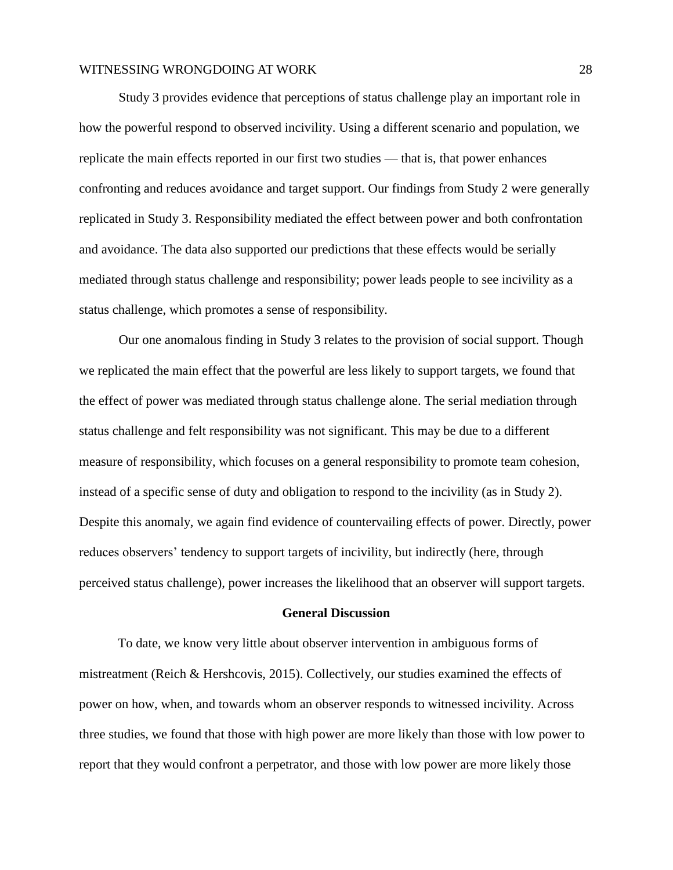Study 3 provides evidence that perceptions of status challenge play an important role in how the powerful respond to observed incivility. Using a different scenario and population, we replicate the main effects reported in our first two studies — that is, that power enhances confronting and reduces avoidance and target support. Our findings from Study 2 were generally replicated in Study 3. Responsibility mediated the effect between power and both confrontation and avoidance. The data also supported our predictions that these effects would be serially mediated through status challenge and responsibility; power leads people to see incivility as a status challenge, which promotes a sense of responsibility.

Our one anomalous finding in Study 3 relates to the provision of social support. Though we replicated the main effect that the powerful are less likely to support targets, we found that the effect of power was mediated through status challenge alone. The serial mediation through status challenge and felt responsibility was not significant. This may be due to a different measure of responsibility, which focuses on a general responsibility to promote team cohesion, instead of a specific sense of duty and obligation to respond to the incivility (as in Study 2). Despite this anomaly, we again find evidence of countervailing effects of power. Directly, power reduces observers' tendency to support targets of incivility, but indirectly (here, through perceived status challenge), power increases the likelihood that an observer will support targets.

#### **General Discussion**

To date, we know very little about observer intervention in ambiguous forms of mistreatment (Reich & Hershcovis, 2015). Collectively, our studies examined the effects of power on how, when, and towards whom an observer responds to witnessed incivility. Across three studies, we found that those with high power are more likely than those with low power to report that they would confront a perpetrator, and those with low power are more likely those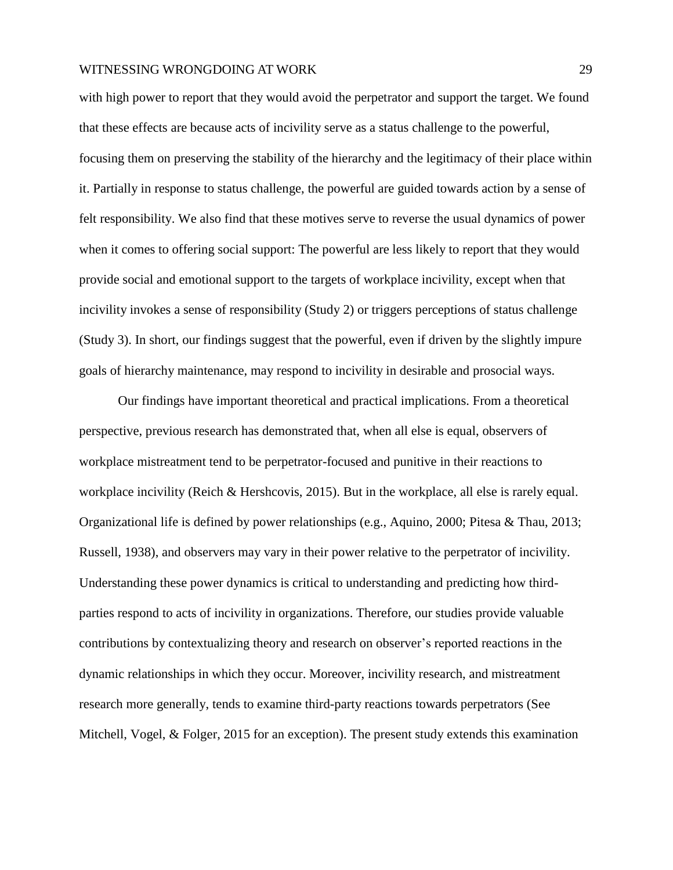with high power to report that they would avoid the perpetrator and support the target. We found that these effects are because acts of incivility serve as a status challenge to the powerful, focusing them on preserving the stability of the hierarchy and the legitimacy of their place within it. Partially in response to status challenge, the powerful are guided towards action by a sense of felt responsibility. We also find that these motives serve to reverse the usual dynamics of power when it comes to offering social support: The powerful are less likely to report that they would provide social and emotional support to the targets of workplace incivility, except when that incivility invokes a sense of responsibility (Study 2) or triggers perceptions of status challenge (Study 3). In short, our findings suggest that the powerful, even if driven by the slightly impure goals of hierarchy maintenance, may respond to incivility in desirable and prosocial ways.

Our findings have important theoretical and practical implications. From a theoretical perspective, previous research has demonstrated that, when all else is equal, observers of workplace mistreatment tend to be perpetrator-focused and punitive in their reactions to workplace incivility (Reich & Hershcovis, 2015). But in the workplace, all else is rarely equal. Organizational life is defined by power relationships (e.g., Aquino, 2000; Pitesa & Thau, 2013; Russell, 1938), and observers may vary in their power relative to the perpetrator of incivility. Understanding these power dynamics is critical to understanding and predicting how thirdparties respond to acts of incivility in organizations. Therefore, our studies provide valuable contributions by contextualizing theory and research on observer's reported reactions in the dynamic relationships in which they occur. Moreover, incivility research, and mistreatment research more generally, tends to examine third-party reactions towards perpetrators (See Mitchell, Vogel, & Folger, 2015 for an exception). The present study extends this examination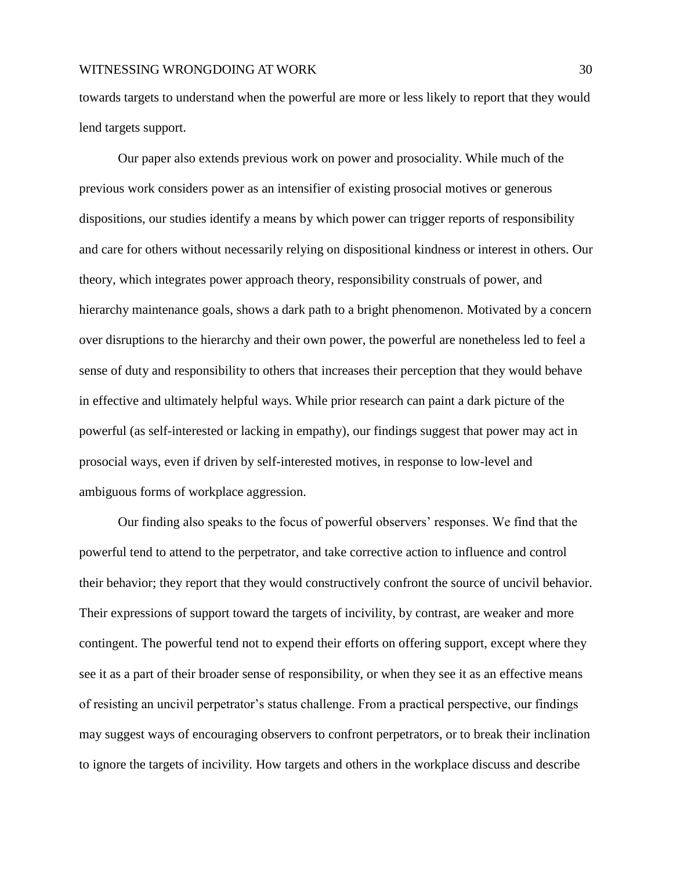towards targets to understand when the powerful are more or less likely to report that they would lend targets support.

Our paper also extends previous work on power and prosociality. While much of the previous work considers power as an intensifier of existing prosocial motives or generous dispositions, our studies identify a means by which power can trigger reports of responsibility and care for others without necessarily relying on dispositional kindness or interest in others. Our theory, which integrates power approach theory, responsibility construals of power, and hierarchy maintenance goals, shows a dark path to a bright phenomenon. Motivated by a concern over disruptions to the hierarchy and their own power, the powerful are nonetheless led to feel a sense of duty and responsibility to others that increases their perception that they would behave in effective and ultimately helpful ways. While prior research can paint a dark picture of the powerful (as self-interested or lacking in empathy), our findings suggest that power may act in prosocial ways, even if driven by self-interested motives, in response to low-level and ambiguous forms of workplace aggression.

Our finding also speaks to the focus of powerful observers' responses. We find that the powerful tend to attend to the perpetrator, and take corrective action to influence and control their behavior; they report that they would constructively confront the source of uncivil behavior. Their expressions of support toward the targets of incivility, by contrast, are weaker and more contingent. The powerful tend not to expend their efforts on offering support, except where they see it as a part of their broader sense of responsibility, or when they see it as an effective means of resisting an uncivil perpetrator's status challenge. From a practical perspective, our findings may suggest ways of encouraging observers to confront perpetrators, or to break their inclination to ignore the targets of incivility. How targets and others in the workplace discuss and describe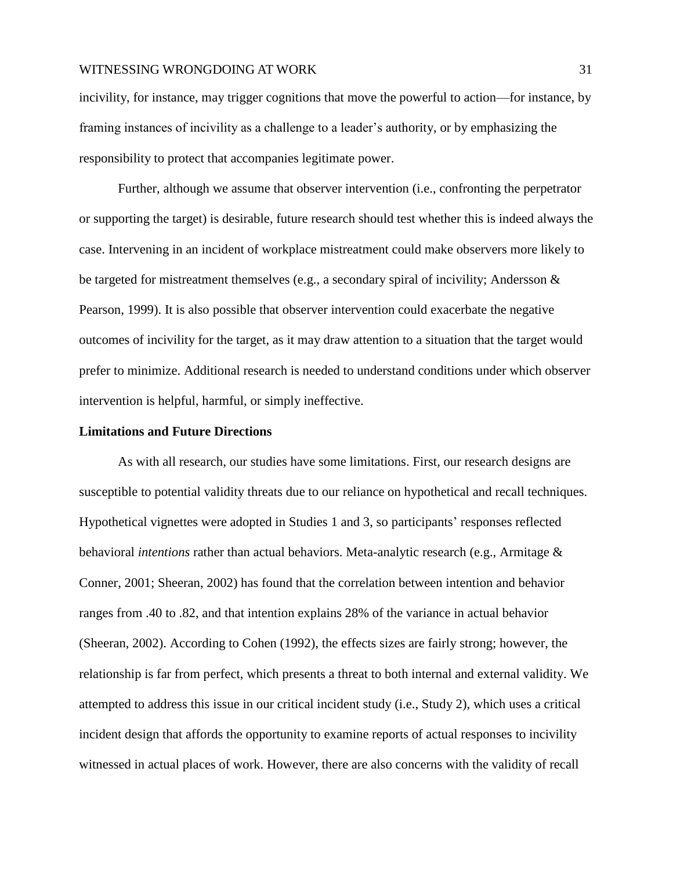incivility, for instance, may trigger cognitions that move the powerful to action—for instance, by framing instances of incivility as a challenge to a leader's authority, or by emphasizing the responsibility to protect that accompanies legitimate power.

Further, although we assume that observer intervention (i.e., confronting the perpetrator or supporting the target) is desirable, future research should test whether this is indeed always the case. Intervening in an incident of workplace mistreatment could make observers more likely to be targeted for mistreatment themselves (e.g., a secondary spiral of incivility; Andersson & Pearson, 1999). It is also possible that observer intervention could exacerbate the negative outcomes of incivility for the target, as it may draw attention to a situation that the target would prefer to minimize. Additional research is needed to understand conditions under which observer intervention is helpful, harmful, or simply ineffective.

#### **Limitations and Future Directions**

As with all research, our studies have some limitations. First, our research designs are susceptible to potential validity threats due to our reliance on hypothetical and recall techniques. Hypothetical vignettes were adopted in Studies 1 and 3, so participants' responses reflected behavioral *intentions* rather than actual behaviors. Meta-analytic research (e.g., Armitage & Conner, 2001; Sheeran, 2002) has found that the correlation between intention and behavior ranges from .40 to .82, and that intention explains 28% of the variance in actual behavior (Sheeran, 2002). According to Cohen (1992), the effects sizes are fairly strong; however, the relationship is far from perfect, which presents a threat to both internal and external validity. We attempted to address this issue in our critical incident study (i.e., Study 2), which uses a critical incident design that affords the opportunity to examine reports of actual responses to incivility witnessed in actual places of work. However, there are also concerns with the validity of recall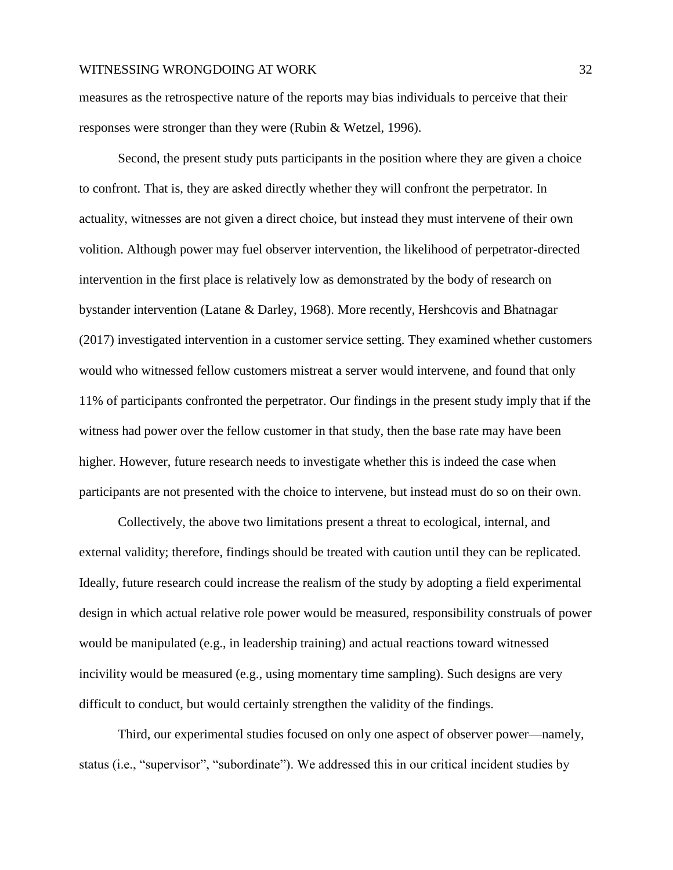measures as the retrospective nature of the reports may bias individuals to perceive that their responses were stronger than they were (Rubin & Wetzel, 1996).

Second, the present study puts participants in the position where they are given a choice to confront. That is, they are asked directly whether they will confront the perpetrator. In actuality, witnesses are not given a direct choice, but instead they must intervene of their own volition. Although power may fuel observer intervention, the likelihood of perpetrator-directed intervention in the first place is relatively low as demonstrated by the body of research on bystander intervention (Latane & Darley, 1968). More recently, Hershcovis and Bhatnagar (2017) investigated intervention in a customer service setting. They examined whether customers would who witnessed fellow customers mistreat a server would intervene, and found that only 11% of participants confronted the perpetrator. Our findings in the present study imply that if the witness had power over the fellow customer in that study, then the base rate may have been higher. However, future research needs to investigate whether this is indeed the case when participants are not presented with the choice to intervene, but instead must do so on their own.

Collectively, the above two limitations present a threat to ecological, internal, and external validity; therefore, findings should be treated with caution until they can be replicated. Ideally, future research could increase the realism of the study by adopting a field experimental design in which actual relative role power would be measured, responsibility construals of power would be manipulated (e.g., in leadership training) and actual reactions toward witnessed incivility would be measured (e.g., using momentary time sampling). Such designs are very difficult to conduct, but would certainly strengthen the validity of the findings.

Third, our experimental studies focused on only one aspect of observer power—namely, status (i.e., "supervisor", "subordinate"). We addressed this in our critical incident studies by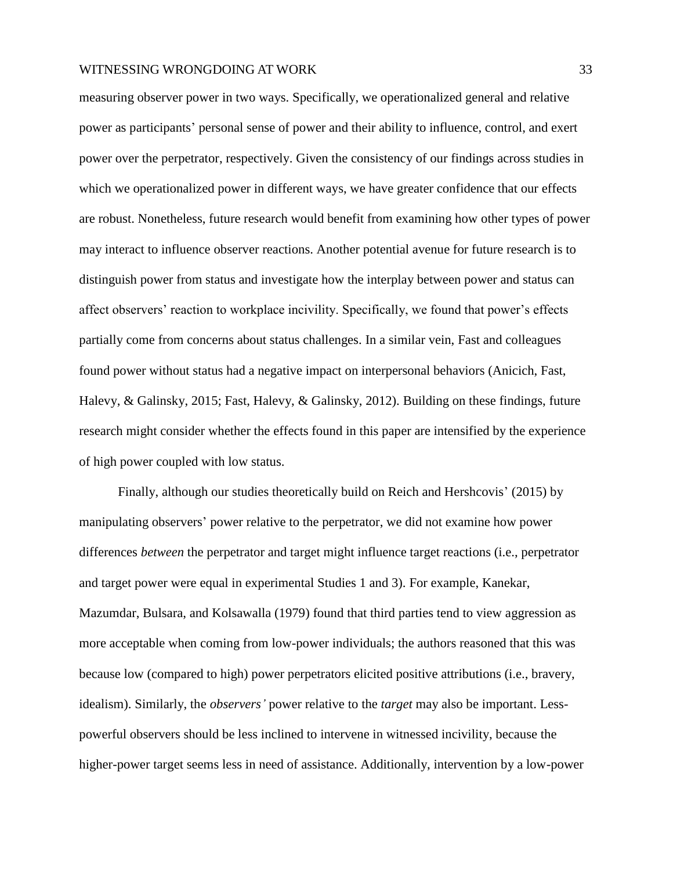measuring observer power in two ways. Specifically, we operationalized general and relative power as participants' personal sense of power and their ability to influence, control, and exert power over the perpetrator, respectively. Given the consistency of our findings across studies in which we operationalized power in different ways, we have greater confidence that our effects are robust. Nonetheless, future research would benefit from examining how other types of power may interact to influence observer reactions. Another potential avenue for future research is to distinguish power from status and investigate how the interplay between power and status can affect observers' reaction to workplace incivility. Specifically, we found that power's effects partially come from concerns about status challenges. In a similar vein, Fast and colleagues found power without status had a negative impact on interpersonal behaviors (Anicich, Fast, Halevy, & Galinsky, 2015; Fast, Halevy, & Galinsky, 2012). Building on these findings, future research might consider whether the effects found in this paper are intensified by the experience of high power coupled with low status.

Finally, although our studies theoretically build on Reich and Hershcovis' (2015) by manipulating observers' power relative to the perpetrator, we did not examine how power differences *between* the perpetrator and target might influence target reactions (i.e., perpetrator and target power were equal in experimental Studies 1 and 3). For example, Kanekar, Mazumdar, Bulsara, and Kolsawalla (1979) found that third parties tend to view aggression as more acceptable when coming from low-power individuals; the authors reasoned that this was because low (compared to high) power perpetrators elicited positive attributions (i.e., bravery, idealism). Similarly, the *observers'* power relative to the *target* may also be important. Lesspowerful observers should be less inclined to intervene in witnessed incivility, because the higher-power target seems less in need of assistance. Additionally, intervention by a low-power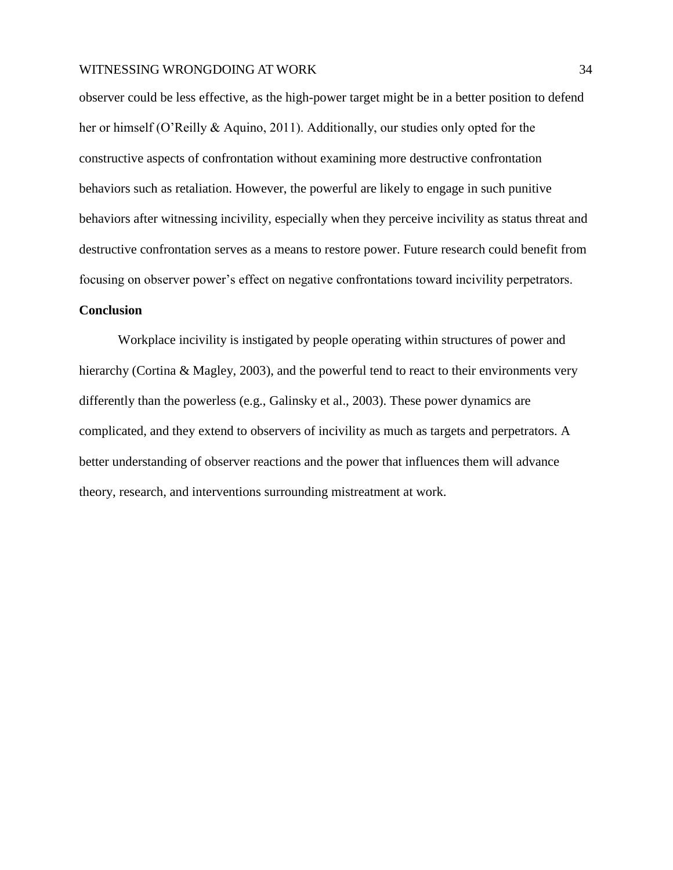observer could be less effective, as the high-power target might be in a better position to defend her or himself (O'Reilly & Aquino, 2011). Additionally, our studies only opted for the constructive aspects of confrontation without examining more destructive confrontation behaviors such as retaliation. However, the powerful are likely to engage in such punitive behaviors after witnessing incivility, especially when they perceive incivility as status threat and destructive confrontation serves as a means to restore power. Future research could benefit from focusing on observer power's effect on negative confrontations toward incivility perpetrators.

#### **Conclusion**

Workplace incivility is instigated by people operating within structures of power and hierarchy (Cortina & Magley, 2003), and the powerful tend to react to their environments very differently than the powerless (e.g., Galinsky et al., 2003). These power dynamics are complicated, and they extend to observers of incivility as much as targets and perpetrators. A better understanding of observer reactions and the power that influences them will advance theory, research, and interventions surrounding mistreatment at work.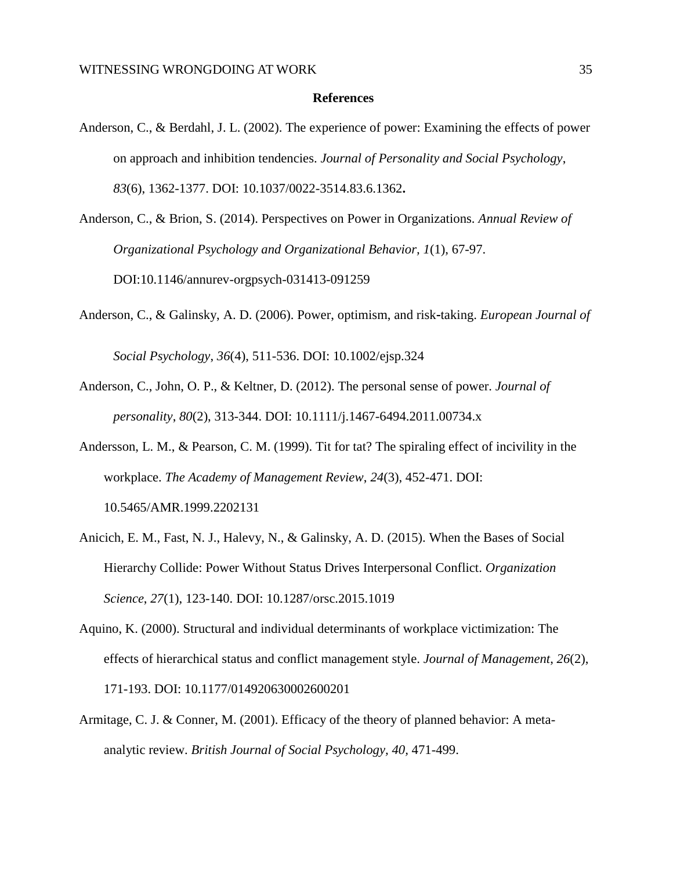#### **References**

- Anderson, C., & Berdahl, J. L. (2002). The experience of power: Examining the effects of power on approach and inhibition tendencies. *Journal of Personality and Social Psychology*, *83*(6), 1362-1377. DOI: 10.1037/0022-3514.83.6.1362**.**
- Anderson, C., & Brion, S. (2014). Perspectives on Power in Organizations. *Annual Review of Organizational Psychology and Organizational Behavior, 1*(1), 67-97. DOI:10.1146/annurev-orgpsych-031413-091259
- Anderson, C., & Galinsky, A. D. (2006). Power, optimism, and risk‐taking. *European Journal of*

*Social Psychology*, *36*(4), 511-536. DOI: 10.1002/ejsp.324

- Anderson, C., John, O. P., & Keltner, D. (2012). The personal sense of power. *Journal of personality*, *80*(2), 313-344. DOI: 10.1111/j.1467-6494.2011.00734.x
- Andersson, L. M., & Pearson, C. M. (1999). Tit for tat? The spiraling effect of incivility in the workplace. *The Academy of Management Review*, *24*(3), 452-471. DOI: 10.5465/AMR.1999.2202131
- Anicich, E. M., Fast, N. J., Halevy, N., & Galinsky, A. D. (2015). When the Bases of Social Hierarchy Collide: Power Without Status Drives Interpersonal Conflict. *Organization Science*, *27*(1), 123-140. DOI: 10.1287/orsc.2015.1019
- Aquino, K. (2000). Structural and individual determinants of workplace victimization: The effects of hierarchical status and conflict management style. *Journal of Management*, *26*(2), 171-193. DOI: 10.1177/014920630002600201
- Armitage, C. J. & Conner, M. (2001). Efficacy of the theory of planned behavior: A metaanalytic review. *British Journal of Social Psychology, 40,* 471-499.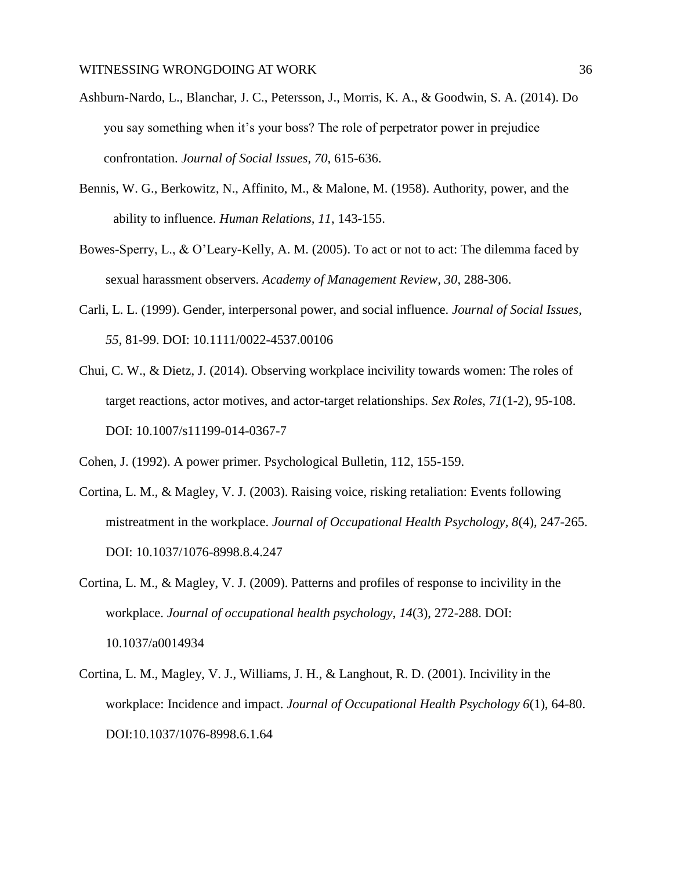- Ashburn-Nardo, L., Blanchar, J. C., Petersson, J., Morris, K. A., & Goodwin, S. A. (2014). Do you say something when it's your boss? The role of perpetrator power in prejudice confrontation. *Journal of Social Issues*, *70*, 615-636.
- Bennis, W. G., Berkowitz, N., Affinito, M., & Malone, M. (1958). Authority, power, and the ability to influence. *Human Relations, 11*, 143-155.
- Bowes-Sperry, L., & O'Leary-Kelly, A. M. (2005). To act or not to act: The dilemma faced by sexual harassment observers. *Academy of Management Review, 30*, 288-306.
- Carli, L. L. (1999). Gender, interpersonal power, and social influence. *Journal of Social Issues, 55*, 81-99. DOI: 10.1111/0022-4537.00106
- Chui, C. W., & Dietz, J. (2014). Observing workplace incivility towards women: The roles of target reactions, actor motives, and actor-target relationships. *Sex Roles*, *71*(1-2), 95-108. DOI: 10.1007/s11199-014-0367-7
- Cohen, J. (1992). A power primer. Psychological Bulletin, 112, 155-159.
- Cortina, L. M., & Magley, V. J. (2003). Raising voice, risking retaliation: Events following mistreatment in the workplace. *Journal of Occupational Health Psychology, 8*(4)*,* 247-265. DOI: 10.1037/1076-8998.8.4.247
- Cortina, L. M., & Magley, V. J. (2009). Patterns and profiles of response to incivility in the workplace. *Journal of occupational health psychology*, *14*(3), 272-288. DOI: 10.1037/a0014934
- Cortina, L. M., Magley, V. J., Williams, J. H., & Langhout, R. D. (2001). Incivility in the workplace: Incidence and impact. *Journal of Occupational Health Psychology 6*(1), 64-80. [DOI:](http://en.wikipedia.org/wiki/Digital_object_identifier)[10.1037/1076-8998.6.1.64](http://dx.doi.org/10.1037%25252525252F1076-8998.6.1.64)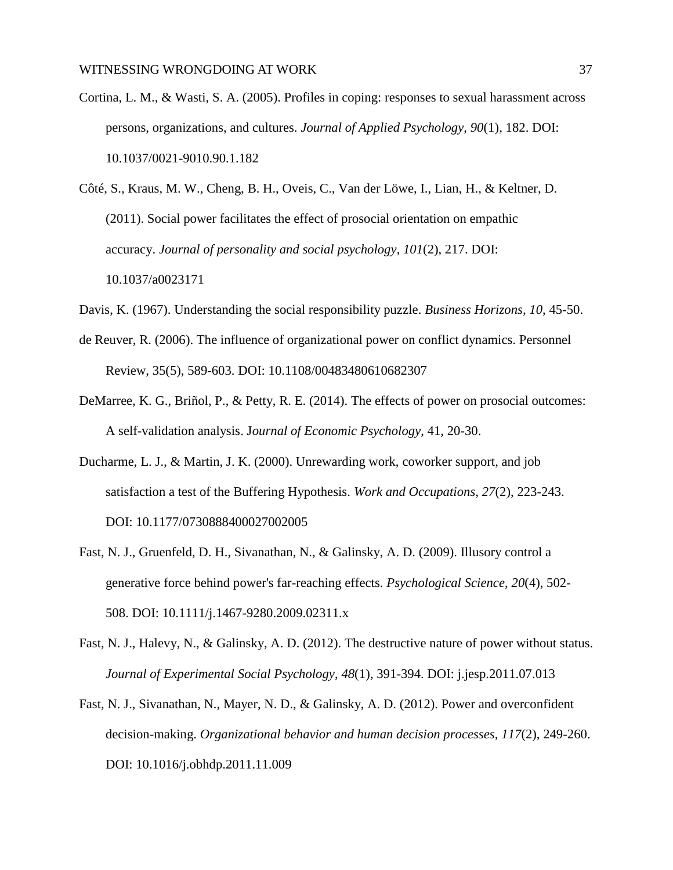- Cortina, L. M., & Wasti, S. A. (2005). Profiles in coping: responses to sexual harassment across persons, organizations, and cultures. *Journal of Applied Psychology*, *90*(1), 182. DOI: 10.1037/0021-9010.90.1.182
- Côté, S., Kraus, M. W., Cheng, B. H., Oveis, C., Van der Löwe, I., Lian, H., & Keltner, D. (2011). Social power facilitates the effect of prosocial orientation on empathic accuracy. *Journal of personality and social psychology*, *101*(2), 217. DOI: 10.1037/a0023171
- Davis, K. (1967). Understanding the social responsibility puzzle. *Business Horizons, 10*, 45-50.
- de Reuver, R. (2006). The influence of organizational power on conflict dynamics. Personnel Review, 35(5), 589-603. DOI: 10.1108/00483480610682307
- DeMarree, K. G., Briñol, P., & Petty, R. E. (2014). The effects of power on prosocial outcomes: A self-validation analysis. J*ournal of Economic Psychology*, 41, 20-30.
- Ducharme, L. J., & Martin, J. K. (2000). Unrewarding work, coworker support, and job satisfaction a test of the Buffering Hypothesis. *Work and Occupations*, *27*(2), 223-243. DOI: 10.1177/0730888400027002005
- Fast, N. J., Gruenfeld, D. H., Sivanathan, N., & Galinsky, A. D. (2009). Illusory control a generative force behind power's far-reaching effects. *Psychological Science*, *20*(4), 502- 508. DOI: 10.1111/j.1467-9280.2009.02311.x
- Fast, N. J., Halevy, N., & Galinsky, A. D. (2012). The destructive nature of power without status. *Journal of Experimental Social Psychology*, *48*(1), 391-394. DOI: j.jesp.2011.07.013
- Fast, N. J., Sivanathan, N., Mayer, N. D., & Galinsky, A. D. (2012). Power and overconfident decision-making. *Organizational behavior and human decision processes*, *117*(2), 249-260. DOI: 10.1016/j.obhdp.2011.11.009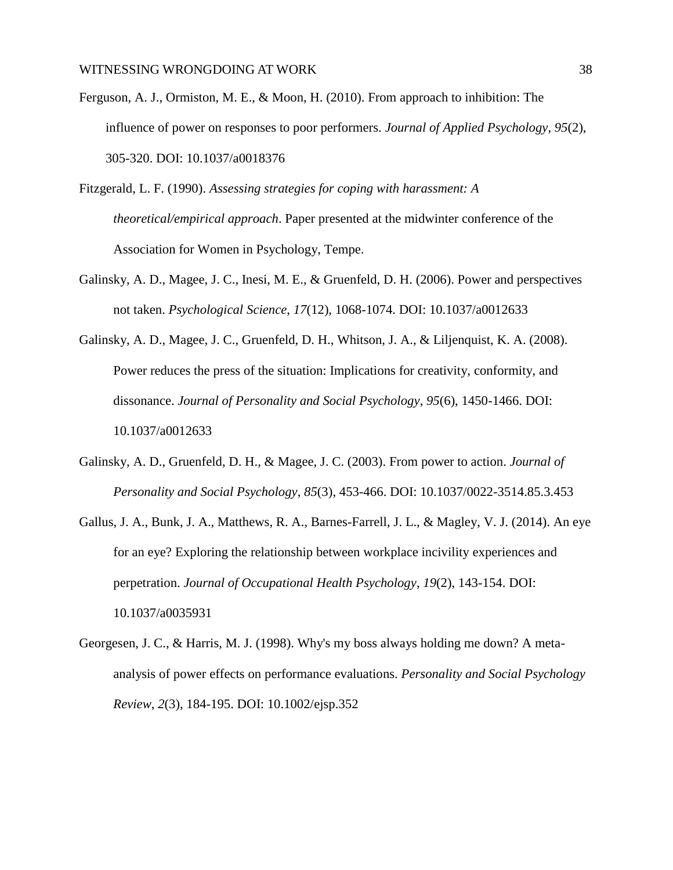- Ferguson, A. J., Ormiston, M. E., & Moon, H. (2010). From approach to inhibition: The influence of power on responses to poor performers. *Journal of Applied Psychology*, *95*(2), 305-320. DOI: 10.1037/a0018376
- Fitzgerald, L. F. (1990). *Assessing strategies for coping with harassment: A theoretical/empirical approach*. Paper presented at the midwinter conference of the Association for Women in Psychology, Tempe.
- Galinsky, A. D., Magee, J. C., Inesi, M. E., & Gruenfeld, D. H. (2006). Power and perspectives not taken. *Psychological Science*, *17*(12), 1068-1074. DOI: 10.1037/a0012633
- Galinsky, A. D., Magee, J. C., Gruenfeld, D. H., Whitson, J. A., & Liljenquist, K. A. (2008). Power reduces the press of the situation: Implications for creativity, conformity, and dissonance. *Journal of Personality and Social Psychology*, *95*(6), 1450-1466. DOI: 10.1037/a0012633
- Galinsky, A. D., Gruenfeld, D. H., & Magee, J. C. (2003). From power to action. *Journal of Personality and Social Psychology*, *85*(3), 453-466. DOI: 10.1037/0022-3514.85.3.453
- Gallus, J. A., Bunk, J. A., Matthews, R. A., Barnes-Farrell, J. L., & Magley, V. J. (2014). An eye for an eye? Exploring the relationship between workplace incivility experiences and perpetration. *Journal of Occupational Health Psychology*, *19*(2), 143-154. DOI: 10.1037/a0035931
- Georgesen, J. C., & Harris, M. J. (1998). Why's my boss always holding me down? A metaanalysis of power effects on performance evaluations. *Personality and Social Psychology Review*, *2*(3), 184-195. DOI: 10.1002/ejsp.352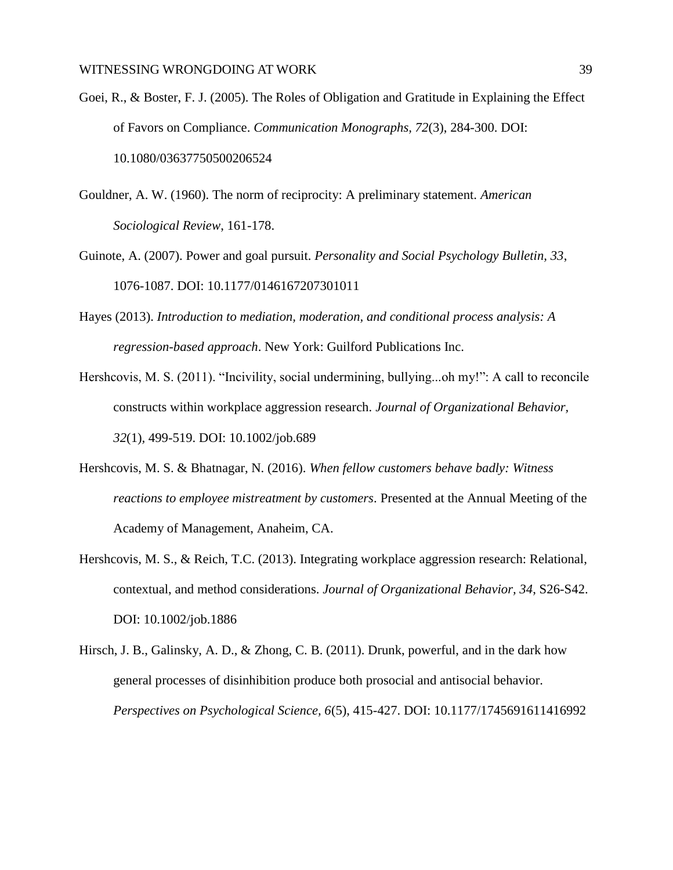- Goei, R., & Boster, F. J. (2005). The Roles of Obligation and Gratitude in Explaining the Effect of Favors on Compliance. *Communication Monographs, 72*(3), 284-300. DOI: 10.1080/03637750500206524
- Gouldner, A. W. (1960). The norm of reciprocity: A preliminary statement. *American Sociological Review*, 161-178.
- Guinote, A. (2007). Power and goal pursuit. *Personality and Social Psychology Bulletin, 33*, 1076-1087. DOI: 10.1177/0146167207301011
- Hayes (2013). *Introduction to mediation, moderation, and conditional process analysis: A regression-based approach*. New York: Guilford Publications Inc.
- Hershcovis, M. S. (2011). "Incivility, social undermining, bullying...oh my!": A call to reconcile constructs within workplace aggression research. *Journal of Organizational Behavior, 32*(1)*,* 499-519. DOI: 10.1002/job.689
- Hershcovis, M. S. & Bhatnagar, N. (2016). *When fellow customers behave badly: Witness reactions to employee mistreatment by customers*. Presented at the Annual Meeting of the Academy of Management, Anaheim, CA.
- Hershcovis, M. S., & Reich, T.C. (2013). Integrating workplace aggression research: Relational, contextual, and method considerations. *Journal of Organizational Behavior, 34*, S26-S42. DOI: 10.1002/job.1886
- Hirsch, J. B., Galinsky, A. D., & Zhong, C. B. (2011). Drunk, powerful, and in the dark how general processes of disinhibition produce both prosocial and antisocial behavior. *Perspectives on Psychological Science, 6*(5), 415-427. DOI: 10.1177/1745691611416992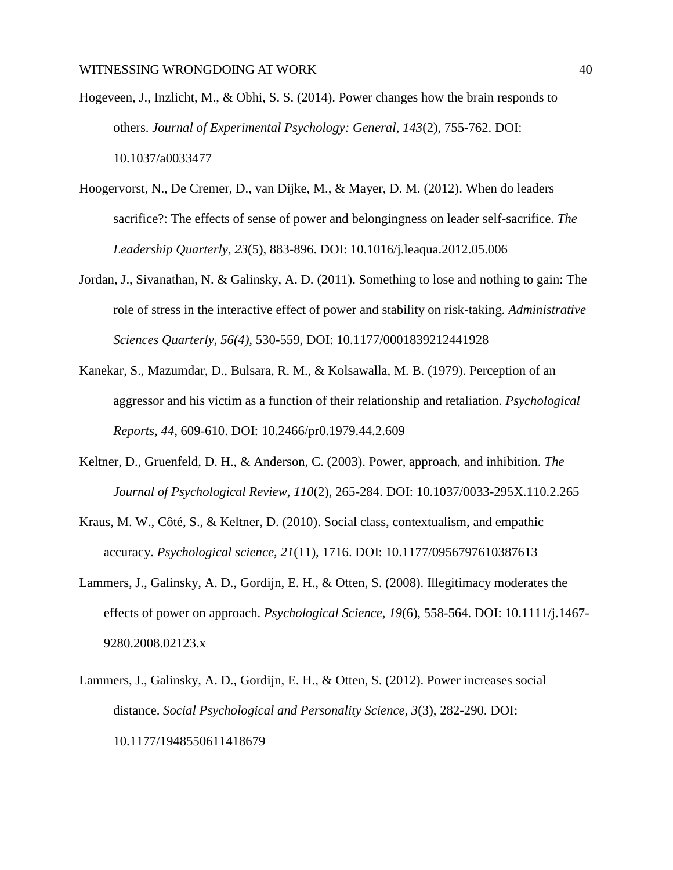- Hogeveen, J., Inzlicht, M., & Obhi, S. S. (2014). Power changes how the brain responds to others. *Journal of Experimental Psychology: General*, *143*(2), 755-762. DOI: 10.1037/a0033477
- Hoogervorst, N., De Cremer, D., van Dijke, M., & Mayer, D. M. (2012). When do leaders sacrifice?: The effects of sense of power and belongingness on leader self-sacrifice. *The Leadership Quarterly*, *23*(5), 883-896. DOI: 10.1016/j.leaqua.2012.05.006
- Jordan, J., Sivanathan, N. & Galinsky, A. D. (2011). Something to lose and nothing to gain: The role of stress in the interactive effect of power and stability on risk-taking. *Administrative Sciences Quarterly, 56(4),* 530-559, DOI: 10.1177/0001839212441928
- Kanekar, S., Mazumdar, D., Bulsara, R. M., & Kolsawalla, M. B. (1979). Perception of an aggressor and his victim as a function of their relationship and retaliation. *Psychological Reports, 44*, 609-610. DOI: 10.2466/pr0.1979.44.2.609
- Keltner, D., Gruenfeld, D. H., & [Anderson, C.](http://www.ncbi.nlm.nih.gov/pubmed?term=Anderson%252525252520C%25252525255BAuthor%25252525255D&cauthor=true&cauthor_uid=12747524) (2003). Power, approach, and inhibition. *The Journal of Psychological Review, 110*(2), 265-284. DOI: 10.1037/0033-295X.110.2.265
- Kraus, M. W., Côté, S., & Keltner, D. (2010). Social class, contextualism, and empathic accuracy. *Psychological science*, *21*(11), 1716. DOI: 10.1177/0956797610387613
- Lammers, J., Galinsky, A. D., Gordijn, E. H., & Otten, S. (2008). Illegitimacy moderates the effects of power on approach. *Psychological Science*, *19*(6), 558-564. DOI: 10.1111/j.1467- 9280.2008.02123.x
- Lammers, J., Galinsky, A. D., Gordijn, E. H., & Otten, S. (2012). Power increases social distance. *Social Psychological and Personality Science, 3*(3), 282-290. DOI: 10.1177/1948550611418679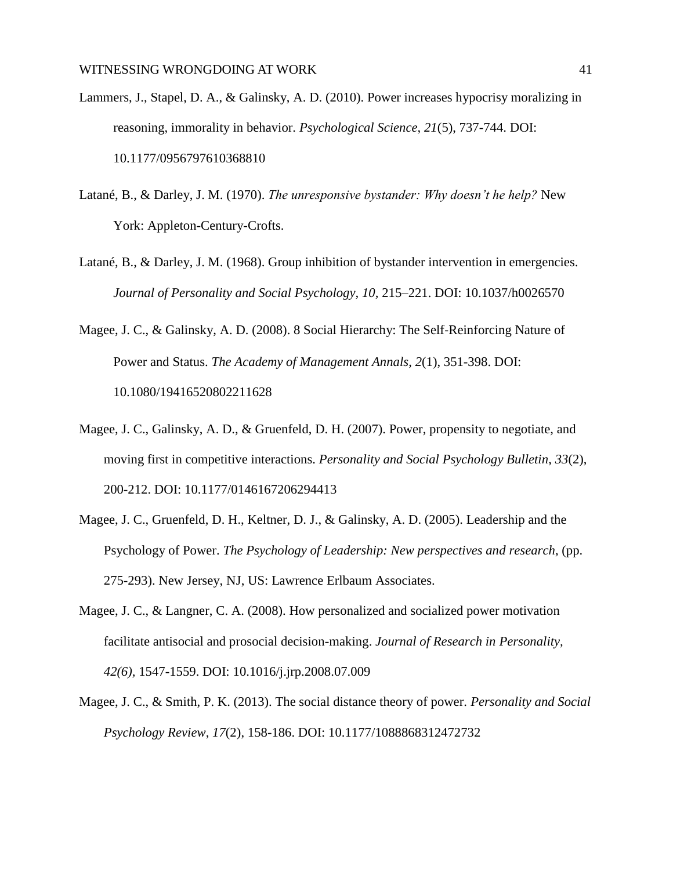- Lammers, J., Stapel, D. A., & Galinsky, A. D. (2010). Power increases hypocrisy moralizing in reasoning, immorality in behavior. *Psychological Science*, *21*(5), 737-744. DOI: 10.1177/0956797610368810
- Latané, B., & Darley, J. M. (1970). *The unresponsive bystander: Why doesn't he help?* New York: Appleton-Century-Crofts.
- Latané, B., & Darley, J. M. (1968). Group inhibition of bystander intervention in emergencies. *Journal of Personality and Social Psychology, 10, 215–221. DOI: 10.1037/h0026570*
- Magee, J. C., & Galinsky, A. D. (2008). 8 Social Hierarchy: The Self‐Reinforcing Nature of Power and Status. *The Academy of Management Annals*, *2*(1), 351-398. DOI: 10.1080/19416520802211628
- Magee, J. C., Galinsky, A. D., & Gruenfeld, D. H. (2007). Power, propensity to negotiate, and moving first in competitive interactions. *Personality and Social Psychology Bulletin*, *33*(2), 200-212. DOI: 10.1177/0146167206294413
- Magee, J. C., Gruenfeld, D. H., Keltner, D. J., & Galinsky, A. D. (2005). Leadership and the Psychology of Power. *The Psychology of Leadership: New perspectives and research*, (pp. 275-293). New Jersey, NJ, US: Lawrence Erlbaum Associates.
- Magee, J. C., & Langner, C. A. (2008). How personalized and socialized power motivation facilitate antisocial and prosocial decision-making. *Journal of Research in Personality, 42(6),* 1547-1559. DOI: 10.1016/j.jrp.2008.07.009
- Magee, J. C., & Smith, P. K. (2013). The social distance theory of power. *Personality and Social Psychology Review*, *17*(2), 158-186. DOI: 10.1177/1088868312472732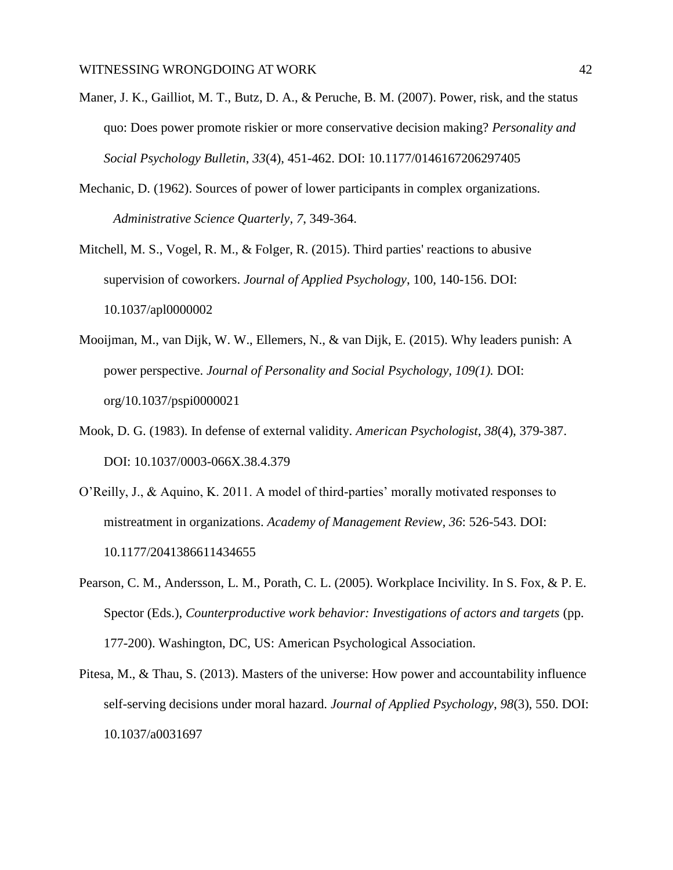- Maner, J. K., Gailliot, M. T., Butz, D. A., & Peruche, B. M. (2007). Power, risk, and the status quo: Does power promote riskier or more conservative decision making? *Personality and Social Psychology Bulletin*, *33*(4), 451-462. DOI: 10.1177/0146167206297405
- Mechanic, D. (1962). Sources of power of lower participants in complex organizations. *Administrative Science Quarterly, 7*, 349-364.
- Mitchell, M. S., Vogel, R. M., & Folger, R. (2015). Third parties' reactions to abusive supervision of coworkers. *[Journal of Applied Psychology](http://www.apple.com/)*, 100, 140-156. DOI: 10.1037/apl0000002
- Mooijman, M., van Dijk, W. W., Ellemers, N., & van Dijk, E. (2015). Why leaders punish: A power perspective. *Journal of Personality and Social Psychology, 109(1).* DOI: org/10.1037/pspi0000021
- Mook, D. G. (1983). In defense of external validity. *American Psychologist*, *38*(4), 379-387. DOI: 10.1037/0003-066X.38.4.379
- O'Reilly, J., & Aquino, K. 2011. A model of third-parties' morally motivated responses to mistreatment in organizations. *Academy of Management Review, 36*: 526-543. DOI: 10.1177/2041386611434655
- Pearson, C. M., Andersson, L. M., Porath, C. L. (2005). Workplace Incivility. In S. Fox, & P. E. Spector (Eds.), *Counterproductive work behavior: Investigations of actors and targets* (pp. 177-200). Washington, DC, US: American Psychological Association.
- Pitesa, M., & Thau, S. (2013). Masters of the universe: How power and accountability influence self-serving decisions under moral hazard. *Journal of Applied Psychology*, *98*(3), 550. DOI: 10.1037/a0031697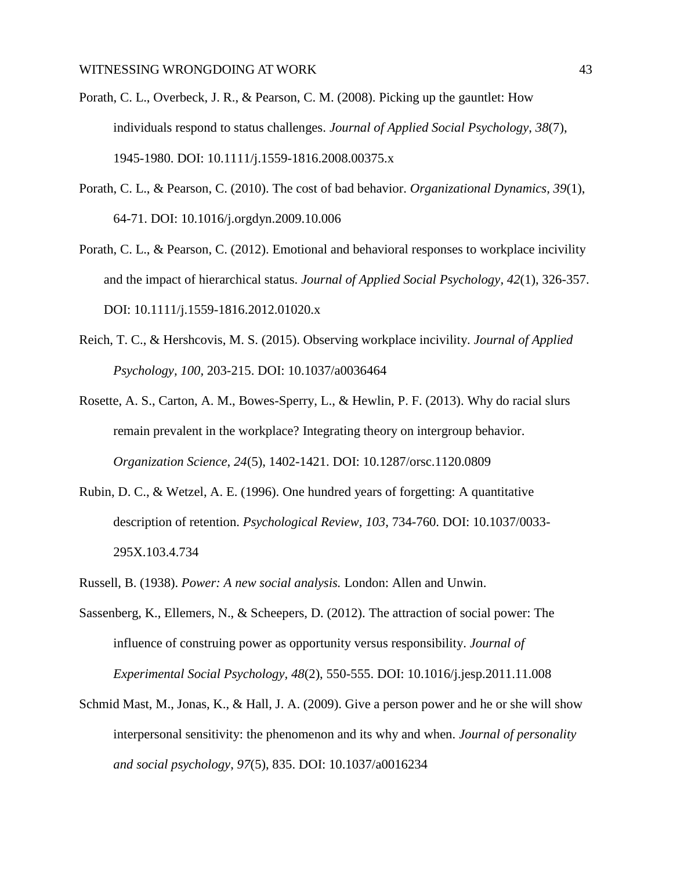- Porath, C. L., Overbeck, J. R., & Pearson, C. M. (2008). Picking up the gauntlet: How individuals respond to status challenges. *Journal of Applied Social Psychology*, *38*(7), 1945-1980. DOI: 10.1111/j.1559-1816.2008.00375.x
- Porath, C. L., & Pearson, C. (2010). The cost of bad behavior. *Organizational Dynamics, 39*(1), 64-71. DOI: 10.1016/j.orgdyn.2009.10.006
- Porath, C. L., & Pearson, C. (2012). Emotional and behavioral responses to workplace incivility and the impact of hierarchical status. *Journal of Applied Social Psychology, 42*(1), 326-357. DOI: 10.1111/j.1559-1816.2012.01020.x
- Reich, T. C., & Hershcovis, M. S. (2015). Observing workplace incivility. *Journal of Applied Psychology, 100,* 203-215. DOI: 10.1037/a0036464
- Rosette, A. S., Carton, A. M., Bowes-Sperry, L., & Hewlin, P. F. (2013). Why do racial slurs remain prevalent in the workplace? Integrating theory on intergroup behavior. *Organization Science*, *24*(5), 1402-1421. DOI: 10.1287/orsc.1120.0809
- Rubin, D. C., & Wetzel, A. E. (1996). One hundred years of forgetting: A quantitative description of retention. *Psychological Review, 103*, 734-760. DOI: [10.1037/0033-](http://dx.doi.org/10.1037/0033-295X.103.4.734) [295X.103.4.734](http://dx.doi.org/10.1037/0033-295X.103.4.734)
- Russell, B. (1938). *Power: A new social analysis.* London: Allen and Unwin.
- Sassenberg, K., Ellemers, N., & Scheepers, D. (2012). The attraction of social power: The influence of construing power as opportunity versus responsibility. *Journal of Experimental Social Psychology, 48*(2), 550-555. DOI: 10.1016/j.jesp.2011.11.008
- Schmid Mast, M., Jonas, K., & Hall, J. A. (2009). Give a person power and he or she will show interpersonal sensitivity: the phenomenon and its why and when. *Journal of personality and social psychology*, *97*(5), 835. DOI: 10.1037/a0016234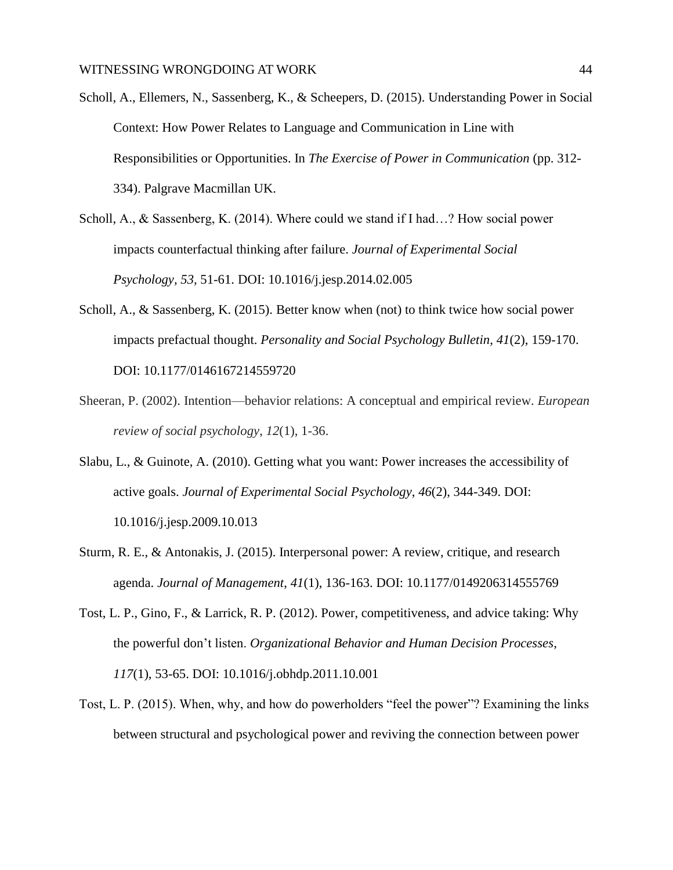Scholl, A., Ellemers, N., Sassenberg, K., & Scheepers, D. (2015). Understanding Power in Social Context: How Power Relates to Language and Communication in Line with Responsibilities or Opportunities. In *The Exercise of Power in Communication* (pp. 312- 334). Palgrave Macmillan UK.

Scholl, A., & Sassenberg, K. (2014). Where could we stand if I had…? How social power impacts counterfactual thinking after failure. *Journal of Experimental Social Psychology, 53,* 51-61. DOI: 10.1016/j.jesp.2014.02.005

- Scholl, A., & Sassenberg, K. (2015). Better know when (not) to think twice how social power impacts prefactual thought. *Personality and Social Psychology Bulletin*, *41*(2), 159-170. DOI: 10.1177/0146167214559720
- Sheeran, P. (2002). Intention—behavior relations: A conceptual and empirical review. *European review of social psychology*, *12*(1), 1-36.
- Slabu, L., & Guinote, A. (2010). Getting what you want: Power increases the accessibility of active goals. *Journal of Experimental Social Psychology*, *46*(2), 344-349. DOI: 10.1016/j.jesp.2009.10.013
- Sturm, R. E., & Antonakis, J. (2015). Interpersonal power: A review, critique, and research agenda. *Journal of Management*, *41*(1), 136-163. DOI: 10.1177/0149206314555769
- Tost, L. P., Gino, F., & Larrick, R. P. (2012). Power, competitiveness, and advice taking: Why the powerful don't listen. *Organizational Behavior and Human Decision Processes*, *117*(1), 53-65. DOI: 10.1016/j.obhdp.2011.10.001
- Tost, L. P. (2015). When, why, and how do powerholders "feel the power"? Examining the links between structural and psychological power and reviving the connection between power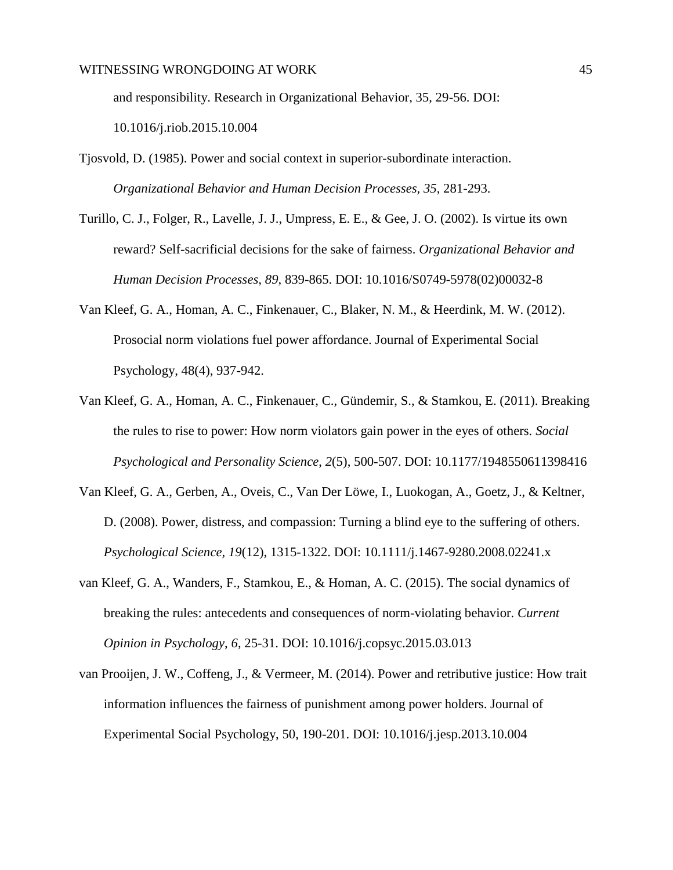and responsibility. Research in Organizational Behavior, 35, 29-56. DOI:

10.1016/j.riob.2015.10.004

- Tjosvold, D. (1985). Power and social context in superior-subordinate interaction. *Organizational Behavior and Human Decision Processes, 35*, 281-293.
- Turillo, C. J., Folger, R., Lavelle, J. J., Umpress, E. E., & Gee, J. O. (2002). Is virtue its own reward? Self-sacrificial decisions for the sake of fairness. *Organizational Behavior and Human Decision Processes, 89*, 839-865. DOI: 10.1016/S0749-5978(02)00032-8
- Van Kleef, G. A., Homan, A. C., Finkenauer, C., Blaker, N. M., & Heerdink, M. W. (2012). Prosocial norm violations fuel power affordance. Journal of Experimental Social Psychology, 48(4), 937-942.
- Van Kleef, G. A., Homan, A. C., Finkenauer, C., Gündemir, S., & Stamkou, E. (2011). Breaking the rules to rise to power: How norm violators gain power in the eyes of others. *Social Psychological and Personality Science*, *2*(5), 500-507. DOI: 10.1177/1948550611398416
- Van Kleef, G. A., Gerben, A., Oveis, C., Van Der Löwe, I., Luokogan, A., Goetz, J., & Keltner, D. (2008). Power, distress, and compassion: Turning a blind eye to the suffering of others. *Psychological Science, 19*(12), 1315-1322. DOI: 10.1111/j.1467-9280.2008.02241.x
- van Kleef, G. A., Wanders, F., Stamkou, E., & Homan, A. C. (2015). The social dynamics of breaking the rules: antecedents and consequences of norm-violating behavior. *Current Opinion in Psychology*, *6*, 25-31. DOI: 10.1016/j.copsyc.2015.03.013
- van Prooijen, J. W., Coffeng, J., & Vermeer, M. (2014). Power and retributive justice: How trait information influences the fairness of punishment among power holders. Journal of Experimental Social Psychology, 50, 190-201. DOI: 10.1016/j.jesp.2013.10.004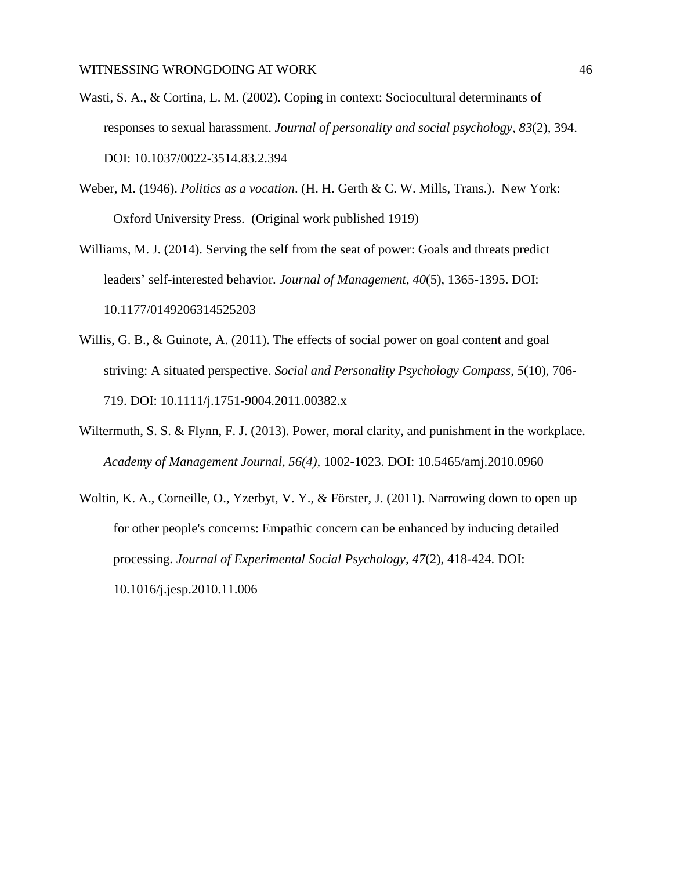- Wasti, S. A., & Cortina, L. M. (2002). Coping in context: Sociocultural determinants of responses to sexual harassment. *Journal of personality and social psychology*, *83*(2), 394. DOI: 10.1037/0022-3514.83.2.394
- Weber, M. (1946). *Politics as a vocation*. (H. H. Gerth & C. W. Mills, Trans.). New York: Oxford University Press. (Original work published 1919)
- Williams, M. J. (2014). Serving the self from the seat of power: Goals and threats predict leaders' self-interested behavior. *Journal of Management*, *40*(5), 1365-1395. DOI: 10.1177/0149206314525203
- Willis, G. B., & Guinote, A. (2011). The effects of social power on goal content and goal striving: A situated perspective. *Social and Personality Psychology Compass*, *5*(10), 706- 719. DOI: 10.1111/j.1751-9004.2011.00382.x
- Wiltermuth, S. S. & Flynn, F. J. (2013). Power, moral clarity, and punishment in the workplace. *Academy of Management Journal, 56(4),* 1002-1023. DOI: 10.5465/amj.2010.0960
- Woltin, K. A., Corneille, O., Yzerbyt, V. Y., & Förster, J. (2011). Narrowing down to open up for other people's concerns: Empathic concern can be enhanced by inducing detailed processing. *Journal of Experimental Social Psychology, 47*(2), 418-424. DOI: 10.1016/j.jesp.2010.11.006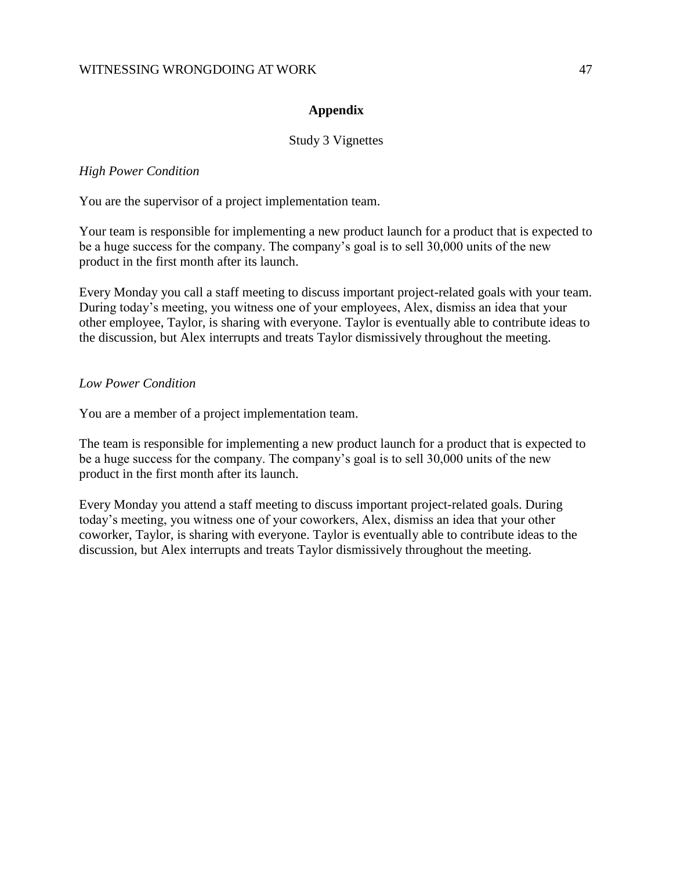#### **Appendix**

#### Study 3 Vignettes

#### *High Power Condition*

You are the supervisor of a project implementation team.

Your team is responsible for implementing a new product launch for a product that is expected to be a huge success for the company. The company's goal is to sell 30,000 units of the new product in the first month after its launch.

Every Monday you call a staff meeting to discuss important project-related goals with your team. During today's meeting, you witness one of your employees, Alex, dismiss an idea that your other employee, Taylor, is sharing with everyone. Taylor is eventually able to contribute ideas to the discussion, but Alex interrupts and treats Taylor dismissively throughout the meeting.

### *Low Power Condition*

You are a member of a project implementation team.

The team is responsible for implementing a new product launch for a product that is expected to be a huge success for the company. The company's goal is to sell 30,000 units of the new product in the first month after its launch.

Every Monday you attend a staff meeting to discuss important project-related goals. During today's meeting, you witness one of your coworkers, Alex, dismiss an idea that your other coworker, Taylor, is sharing with everyone. Taylor is eventually able to contribute ideas to the discussion, but Alex interrupts and treats Taylor dismissively throughout the meeting.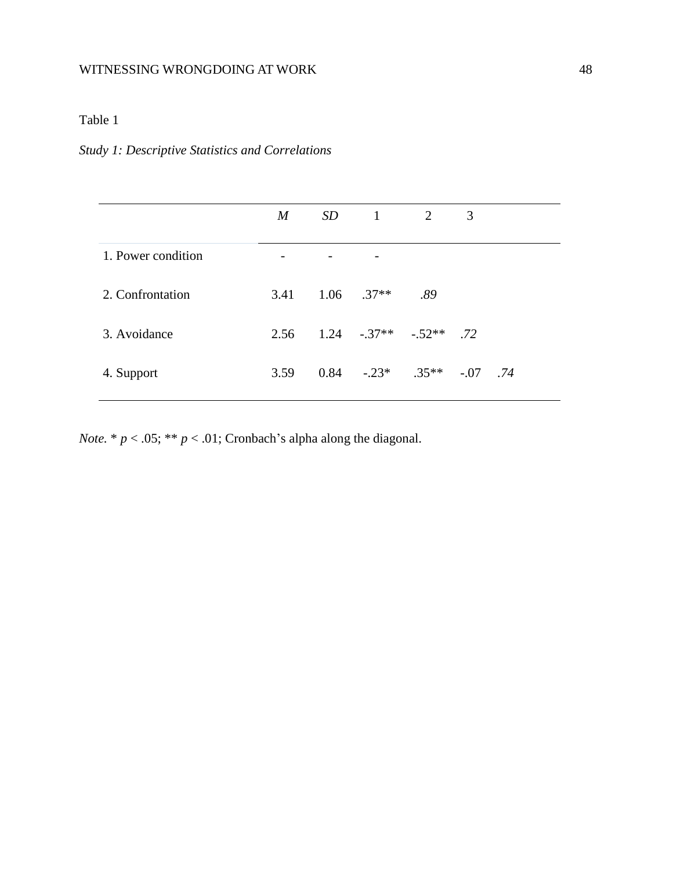# Table 1

## *Study 1: Descriptive Statistics and Correlations*

|                    | $\boldsymbol{M}$ | $SD \t1 \t2$                            |     | 3 |  |  |
|--------------------|------------------|-----------------------------------------|-----|---|--|--|
| 1. Power condition |                  |                                         |     |   |  |  |
| 2. Confrontation   | 3.41             | $1.06$ .37**                            | .89 |   |  |  |
| 3. Avoidance       |                  | $2.56$ $1.24$ $-0.37**$ $-0.52**$ $.72$ |     |   |  |  |
| 4. Support         | 3.59             | $0.84$ $-.23*$ $.35**$ $-.07$ $.74$     |     |   |  |  |
|                    |                  |                                         |     |   |  |  |

*Note.*  $* p < .05; ** p < .01;$  Cronbach's alpha along the diagonal.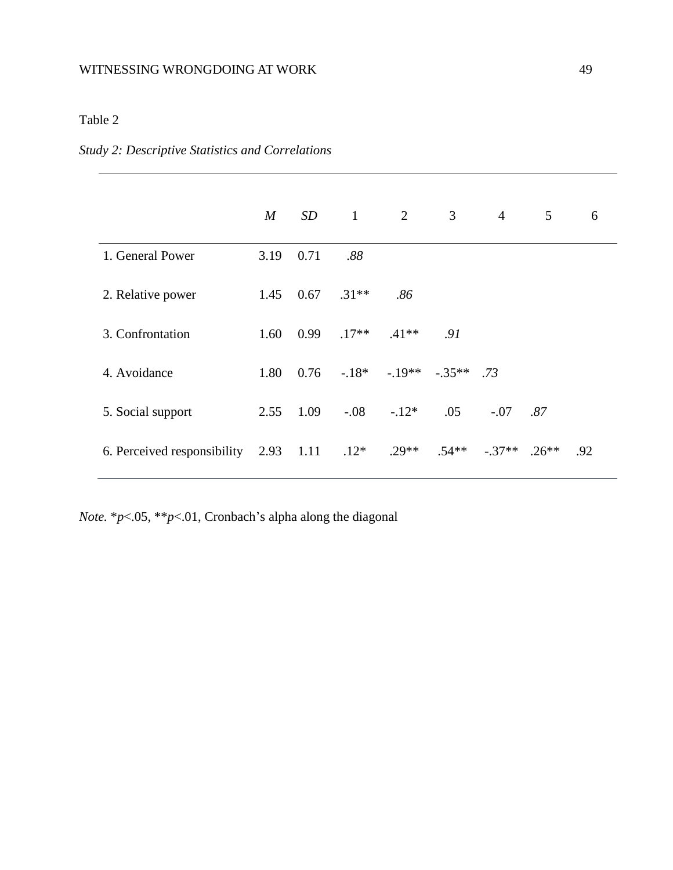# Table 2

## *Study 2: Descriptive Statistics and Correlations*

|                                  | $\boldsymbol{M}$ | SD   | $\overline{1}$ | 2       | $\mathfrak{Z}$ | $\overline{4}$ | 5       | 6   |
|----------------------------------|------------------|------|----------------|---------|----------------|----------------|---------|-----|
| 1. General Power                 | 3.19             | 0.71 | .88            |         |                |                |         |     |
| 2. Relative power                | 1.45             | 0.67 | $.31**$        | .86     |                |                |         |     |
| 3. Confrontation                 | 1.60             | 0.99 | $.17**$        | $.41**$ | .91            |                |         |     |
| 4. Avoidance                     | 1.80             | 0.76 | $-.18*$        | $-19**$ | $-.35**$ .73   |                |         |     |
| 5. Social support                | 2.55             | 1.09 | $-.08$         | $-.12*$ | .05            | $-.07$         | .87     |     |
| 6. Perceived responsibility 2.93 |                  | 1.11 | $.12*$         | $.29**$ | $.54**$        | $-.37**$       | $.26**$ | .92 |

*Note.* \**p*<.05, \*\**p*<.01, Cronbach's alpha along the diagonal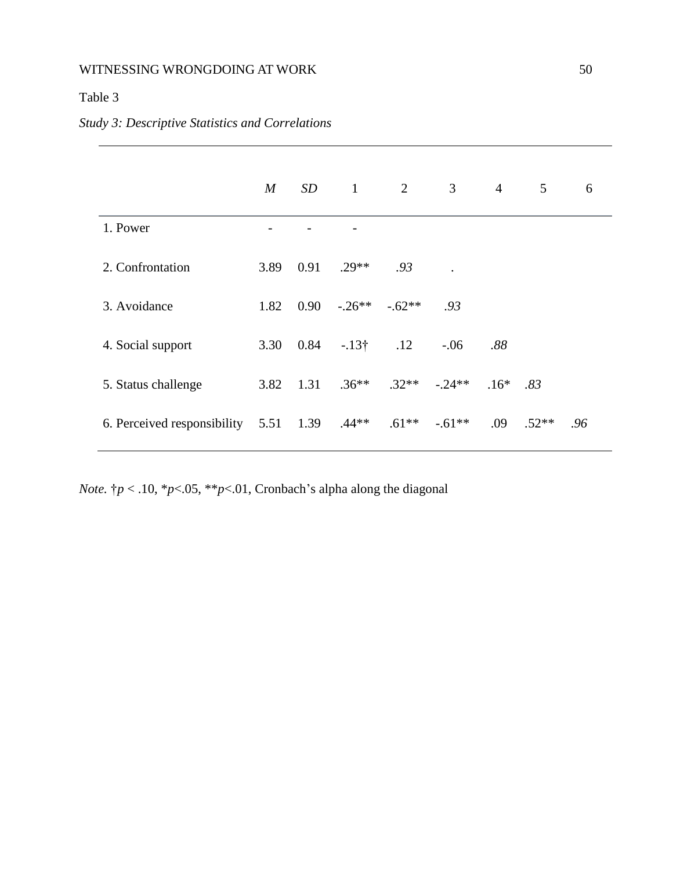# Table 3

|                                  | $\bm{M}$ | SD   | $\mathbf{1}$ | $\overline{2}$ | $\mathfrak{Z}$ | $\overline{4}$ | 5       | 6   |
|----------------------------------|----------|------|--------------|----------------|----------------|----------------|---------|-----|
| 1. Power                         |          |      |              |                |                |                |         |     |
| 2. Confrontation                 | 3.89     | 0.91 | $.29**$      | .93            |                |                |         |     |
| 3. Avoidance                     | 1.82     | 0.90 | $-.26**$     | $-.62**$       | .93            |                |         |     |
| 4. Social support                | 3.30     | 0.84 | $-13\dagger$ | .12            | $-.06$         | .88            |         |     |
| 5. Status challenge              | 3.82     | 1.31 | $.36**$      | $.32**$        | $-0.24**$      | $.16*$         | .83     |     |
| 6. Perceived responsibility 5.51 |          |      | 1.39 $.44**$ | $.61***$       | $-.61**$       | .09            | $.52**$ | .96 |

*Note.* †*p* < .10, \**p*<.05, \*\**p*<.01, Cronbach's alpha along the diagonal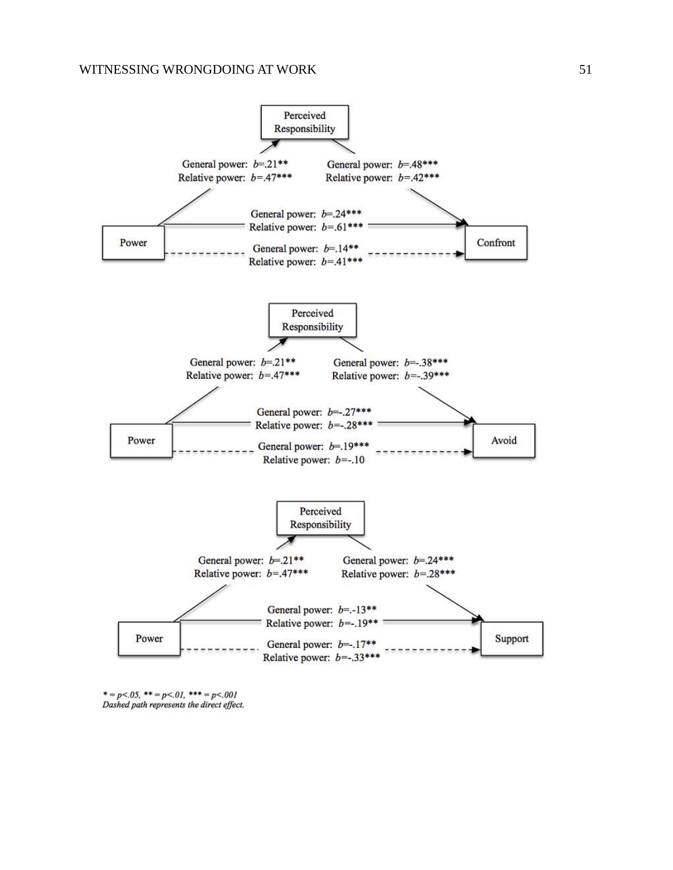

 $*=p<.05$ , \*\* = p<.01, \*\*\* = p<.001 Dashed path represents the direct effect.